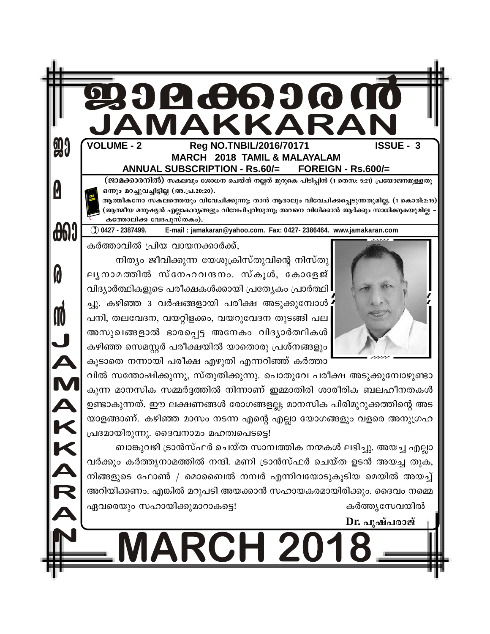| <b>MARCH 2018 TAMIL &amp; MALAYALAM</b><br><b>ANNUAL SUBSCRIPTION - Rs.60/=</b><br><b>FOREIGN - Rs.600/=</b><br>(ജാമക്കാരനിൽ) സകലവും ശോധന ചെയ്ത് നല്ലത് മുറുകെ പിടിപ്പിൻ (1 തെസ: 5:21) പ്രയോജനമുള്ളതു<br>ഒന്നും മറച്ചുവച്ചിട്ടില്ല (അ.പ്ര.20:20).<br>ആത്മീകനോ സകലത്തെയും വിവേചിക്കുന്നു; താൻ ആരാലും വിവേചിക്കപ്പെടുന്നതുമില്ല. (1 കൊരി:2:15)<br>(ആത്മീയ മനുഷ്യൻ എല്ലാകാര്യങ്ങളും വിവേചിച്ചറിയുന്നു; അവനെ വിധിക്കാൻ ആർക്കും സാധിക്കുകയുമില്ല<br>കത്തോലിക്ക വേദപുസ്തകം).<br>$()$ 0427 - 2387499.<br>E-mail: jamakaran@yahoo.com. Fax: 0427-2386464. www.jamakaran.com<br>കർത്താവിൽ പ്രിയ വായനക്കാർക്ക്,<br>നിത്യം ജീവിക്കുന്ന യേശുക്രിസ്തുവിന്റെ നിസ്തു<br>ലൃനാമത്തിൽ സ്നേഹവന്ദനം. സ്കൂൾ, കോളേജ്<br>വിദ്യാർത്ഥികളുടെ പരീക്ഷകൾക്കായി പ്രത്യേകം പ്രാർത്ഥി<br>ച്ചു. കഴിഞ്ഞ 3 വർഷങ്ങളായി പരീക്ഷ അടുക്കുമ്പോൾ<br>പനി, തലവേദന, വയറ്റിളക്കം, വയറുവേദന തുടങ്ങി പല<br>അസുഖങ്ങളാൽ ഭാരപ്പെട്ട അനേകം വിദ്യാർത്ഥികൾ<br>കഴിഞ്ഞ സെമസ്റ്റർ പരീക്ഷയിൽ യാതൊരു പ്രശ്നങ്ങളും<br>കൂടാതെ നന്നായി പരീക്ഷ എഴുതി എന്നറിഞ്ഞ് കർത്താ<br>വിൽ സന്തോഷിക്കുന്നു, സ്തുതിക്കുന്നു. പൊതുവേ പരീക്ഷ അടുക്കുമ്പോഴുണ്ടാ<br>കുന്ന മാനസിക സമ്മർദ്ദത്തിൽ നിന്നാണ് ഇമ്മാതിരി ശാരീരിക ബലഹീനതകൾ<br>ഉണ്ടാകുന്നത്. ഈ ലക്ഷണങ്ങൾ രോഗങ്ങളല്ല; മാനസിക പിരിമുറുക്കത്തിന്റെ അട<br>യാളങ്ങാണ്. കഴിഞ്ഞ മാസം നടന്ന എന്റെ എല്ലാ യോഗങ്ങളും വളരെ അനുഗ്രഹ<br>പ്രദമായിരുന്നു. ദൈവനാമം മഹത്വപെടട്ടെ!<br>ബാങ്കുവഴി ട്രാൻസ്ഫർ ചെയ്ത സാമ്പത്തിക നന്മകൾ ലഭിച്ചു. അയച്ച എല്ലാ<br>വർക്കും കർത്തൃനാമത്തിൽ നന്ദി. മണി ട്രാൻസ്ഫർ ചെയ്ത ഉടൻ അയച്ച തുക,<br>നിങ്ങളുടെ ഫോൺ / മൊബൈൽ നമ്പർ എന്നിവയോടുകൂടിയ മെയിൽ അയച്ച്<br>അറിയിക്കണം. എങ്കിൽ മറുപടി അയക്കാൻ സഹായകരമായിരിക്കും. ദൈവം നമ്മെ<br>ഏവരെയും സഹായിക്കുമാറാകട്ടെ!<br>കർത്തൃസേവയിൽ | <b>VOLUME - 2</b><br>Reg NO.TNBIL/2016/70171 | JAMAKKARAN<br><b>ISSUE - 3</b> |
|------------------------------------------------------------------------------------------------------------------------------------------------------------------------------------------------------------------------------------------------------------------------------------------------------------------------------------------------------------------------------------------------------------------------------------------------------------------------------------------------------------------------------------------------------------------------------------------------------------------------------------------------------------------------------------------------------------------------------------------------------------------------------------------------------------------------------------------------------------------------------------------------------------------------------------------------------------------------------------------------------------------------------------------------------------------------------------------------------------------------------------------------------------------------------------------------------------------------------------------------------------------------------------------------------------------------------------------------------------------------------------------------------------------------------------------------------------------------------------------------------------------------------------------------------------------------------------------------------------------------------------------------------------|----------------------------------------------|--------------------------------|
|                                                                                                                                                                                                                                                                                                                                                                                                                                                                                                                                                                                                                                                                                                                                                                                                                                                                                                                                                                                                                                                                                                                                                                                                                                                                                                                                                                                                                                                                                                                                                                                                                                                            |                                              |                                |
|                                                                                                                                                                                                                                                                                                                                                                                                                                                                                                                                                                                                                                                                                                                                                                                                                                                                                                                                                                                                                                                                                                                                                                                                                                                                                                                                                                                                                                                                                                                                                                                                                                                            |                                              |                                |
|                                                                                                                                                                                                                                                                                                                                                                                                                                                                                                                                                                                                                                                                                                                                                                                                                                                                                                                                                                                                                                                                                                                                                                                                                                                                                                                                                                                                                                                                                                                                                                                                                                                            |                                              |                                |
|                                                                                                                                                                                                                                                                                                                                                                                                                                                                                                                                                                                                                                                                                                                                                                                                                                                                                                                                                                                                                                                                                                                                                                                                                                                                                                                                                                                                                                                                                                                                                                                                                                                            |                                              |                                |
|                                                                                                                                                                                                                                                                                                                                                                                                                                                                                                                                                                                                                                                                                                                                                                                                                                                                                                                                                                                                                                                                                                                                                                                                                                                                                                                                                                                                                                                                                                                                                                                                                                                            |                                              |                                |
|                                                                                                                                                                                                                                                                                                                                                                                                                                                                                                                                                                                                                                                                                                                                                                                                                                                                                                                                                                                                                                                                                                                                                                                                                                                                                                                                                                                                                                                                                                                                                                                                                                                            |                                              |                                |
|                                                                                                                                                                                                                                                                                                                                                                                                                                                                                                                                                                                                                                                                                                                                                                                                                                                                                                                                                                                                                                                                                                                                                                                                                                                                                                                                                                                                                                                                                                                                                                                                                                                            |                                              |                                |
|                                                                                                                                                                                                                                                                                                                                                                                                                                                                                                                                                                                                                                                                                                                                                                                                                                                                                                                                                                                                                                                                                                                                                                                                                                                                                                                                                                                                                                                                                                                                                                                                                                                            |                                              |                                |
|                                                                                                                                                                                                                                                                                                                                                                                                                                                                                                                                                                                                                                                                                                                                                                                                                                                                                                                                                                                                                                                                                                                                                                                                                                                                                                                                                                                                                                                                                                                                                                                                                                                            |                                              |                                |
|                                                                                                                                                                                                                                                                                                                                                                                                                                                                                                                                                                                                                                                                                                                                                                                                                                                                                                                                                                                                                                                                                                                                                                                                                                                                                                                                                                                                                                                                                                                                                                                                                                                            |                                              |                                |
|                                                                                                                                                                                                                                                                                                                                                                                                                                                                                                                                                                                                                                                                                                                                                                                                                                                                                                                                                                                                                                                                                                                                                                                                                                                                                                                                                                                                                                                                                                                                                                                                                                                            |                                              |                                |
|                                                                                                                                                                                                                                                                                                                                                                                                                                                                                                                                                                                                                                                                                                                                                                                                                                                                                                                                                                                                                                                                                                                                                                                                                                                                                                                                                                                                                                                                                                                                                                                                                                                            |                                              |                                |
|                                                                                                                                                                                                                                                                                                                                                                                                                                                                                                                                                                                                                                                                                                                                                                                                                                                                                                                                                                                                                                                                                                                                                                                                                                                                                                                                                                                                                                                                                                                                                                                                                                                            |                                              |                                |
|                                                                                                                                                                                                                                                                                                                                                                                                                                                                                                                                                                                                                                                                                                                                                                                                                                                                                                                                                                                                                                                                                                                                                                                                                                                                                                                                                                                                                                                                                                                                                                                                                                                            |                                              |                                |
|                                                                                                                                                                                                                                                                                                                                                                                                                                                                                                                                                                                                                                                                                                                                                                                                                                                                                                                                                                                                                                                                                                                                                                                                                                                                                                                                                                                                                                                                                                                                                                                                                                                            |                                              |                                |
|                                                                                                                                                                                                                                                                                                                                                                                                                                                                                                                                                                                                                                                                                                                                                                                                                                                                                                                                                                                                                                                                                                                                                                                                                                                                                                                                                                                                                                                                                                                                                                                                                                                            |                                              |                                |
|                                                                                                                                                                                                                                                                                                                                                                                                                                                                                                                                                                                                                                                                                                                                                                                                                                                                                                                                                                                                                                                                                                                                                                                                                                                                                                                                                                                                                                                                                                                                                                                                                                                            |                                              |                                |
|                                                                                                                                                                                                                                                                                                                                                                                                                                                                                                                                                                                                                                                                                                                                                                                                                                                                                                                                                                                                                                                                                                                                                                                                                                                                                                                                                                                                                                                                                                                                                                                                                                                            |                                              |                                |
|                                                                                                                                                                                                                                                                                                                                                                                                                                                                                                                                                                                                                                                                                                                                                                                                                                                                                                                                                                                                                                                                                                                                                                                                                                                                                                                                                                                                                                                                                                                                                                                                                                                            |                                              |                                |
|                                                                                                                                                                                                                                                                                                                                                                                                                                                                                                                                                                                                                                                                                                                                                                                                                                                                                                                                                                                                                                                                                                                                                                                                                                                                                                                                                                                                                                                                                                                                                                                                                                                            |                                              |                                |
|                                                                                                                                                                                                                                                                                                                                                                                                                                                                                                                                                                                                                                                                                                                                                                                                                                                                                                                                                                                                                                                                                                                                                                                                                                                                                                                                                                                                                                                                                                                                                                                                                                                            |                                              |                                |
|                                                                                                                                                                                                                                                                                                                                                                                                                                                                                                                                                                                                                                                                                                                                                                                                                                                                                                                                                                                                                                                                                                                                                                                                                                                                                                                                                                                                                                                                                                                                                                                                                                                            |                                              |                                |
|                                                                                                                                                                                                                                                                                                                                                                                                                                                                                                                                                                                                                                                                                                                                                                                                                                                                                                                                                                                                                                                                                                                                                                                                                                                                                                                                                                                                                                                                                                                                                                                                                                                            |                                              |                                |
|                                                                                                                                                                                                                                                                                                                                                                                                                                                                                                                                                                                                                                                                                                                                                                                                                                                                                                                                                                                                                                                                                                                                                                                                                                                                                                                                                                                                                                                                                                                                                                                                                                                            |                                              | Dr. പുഷ്പരാജ്                  |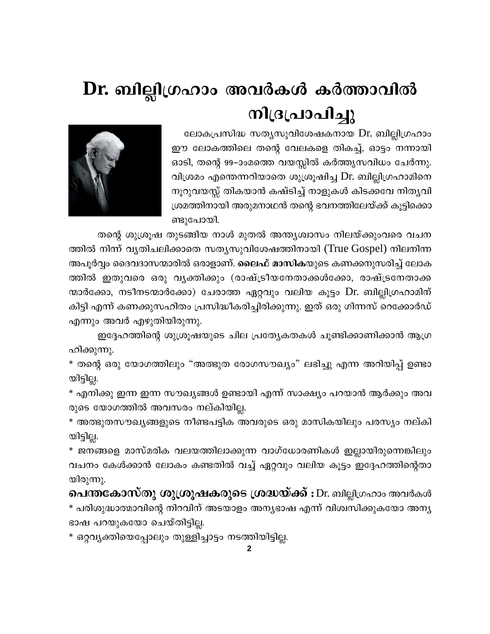# Dr. ബില്ലിഗ്രഹാം അവർകൾ കർത്താവിൽ നിദ്രപ്രാപിച്ചു

ലോകപ്രസിദ്ധ സത്യസുവിശേഷകനായ Dr. ബില്ലിഗ്രഹാം ഈ ലോകത്തിലെ തന്റെ വേലകളെ തികച്ച്, ഓട്ടം നന്നായി ഓടി, തന്റെ 99–ാംമത്തെ വയസ്സിൽ കർത്തൃസവിധം ചേർന്നു. വിശ്രമം എന്തെന്നറിയാതെ ശുശ്രൂഷിച്ച Dr. ബില്ലിഗ്രഹാമിനെ നൂറുവയസ്സ് തികയാൻ കഷ്ടിച്ച് നാളുകൾ കിടക്കവേ നിതൃവി ശ്രമത്തിനായി അരുമനാഥൻ തന്റെ ഭവനത്തിലേയ്ക്ക് കൂട്ടിക്കൊ ണ്ടുപോയി.



തന്റെ ശുശ്രൂഷ തുടങ്ങിയ നാൾ മുതൽ അന്ത്യശ്വാസം നിലയ്ക്കുംവരെ വചന

ത്തിൽ നിന്ന് വൃതിചലിക്കാതെ സതൃസുവിശേഷത്തിനായി (True Gospel) നിലനിന്ന അപൂർവ്വം ദൈവദാസന്മാരിൽ ഒരാളാണ്. ലൈഫ് മാസികയുടെ കണക്കനുസരിച്ച് ലോക ത്തിൽ ഇതുവരെ ഒരു വൃക്തിക്കും (രാഷ്ട്രീയനേതാക്കൾക്കോ, രാഷ്ട്രനേതാക്ക ന്മാർക്കോ, നടീനടന്മാർക്കോ) ചേരാത്ത ഏറ്റവും വലിയ കൂട്ടം Dr. ബില്ലിഗ്രഹാമിന് കിട്ടി എന്ന് കണക്കുസഹിതം പ്രസിദ്ധീകരിച്ചിരിക്കുന്നു. ഇത് ഒരു ഗിന്നസ് റെക്കോർഡ് എന്നും അവർ എഴുതിയിരുന്നു.

ഇദ്ദേഹത്തിന്റെ ശുശ്രൂഷയുടെ ചില പ്രത്യേകതകൾ ചൂണ്ടിക്കാണിക്കാൻ ആഗ്ര ഹിക്കുന്നു.

\* തന്റെ ഒരു യോഗത്തിലും "അത്ഭുത രോഗസൗഖ്യം" ലഭിച്ചു എന്ന അറിയിപ്പ് ഉണ്ടാ യിട്ടില്ല.

\* എനിക്കു ഇന്ന ഇന്ന സൗഖ്യങ്ങൾ ഉണ്ടായി എന്ന് സാക്ഷ്യം പറയാൻ ആർക്കും അവ രുടെ യോഗത്തിൽ അവസരം നല്കിയില്ല.

\* അത്ഭുതസൗഖ്യങ്ങളുടെ നീണ്ടപട്ടിക അവരുടെ ഒരു മാസികയിലും പരസ്യം നല്കി യിട്ടില്ല.

\* ജനങ്ങളെ മാസ്മരിക വലയത്തിലാക്കുന്ന വാഗ്ധോരണികൾ ഇല്ലായിരുന്നെങ്കിലും വചനം കേൾക്കാൻ ലോകം കണ്ടതിൽ വച്ച് ഏറ്റവും വലിയ കൂട്ടം ഇദ്ദേഹത്തിന്റെതാ യിരുന്നു.

**പെന്തകോസ്തു ശുശ്രൂഷകരുടെ ശ്രദ്ധയ്ക്ക് :** Dr. ബില്ലിഗ്രഹാം അവർകൾ \* പരിശുദ്ധാത്മാവിന്റെ നിറവിന് അടയാളം അന്യഭാഷ എന്ന് വിശ്വസിക്കുകയോ അന്യ ഭാഷ പറയുകയോ ചെയ്തിട്ടില്ല.

\* ഒറ്റവ്യക്തിയെപ്പോലും തുള്ളിച്ചാട്ടം നടത്തിയിട്ടില്ല.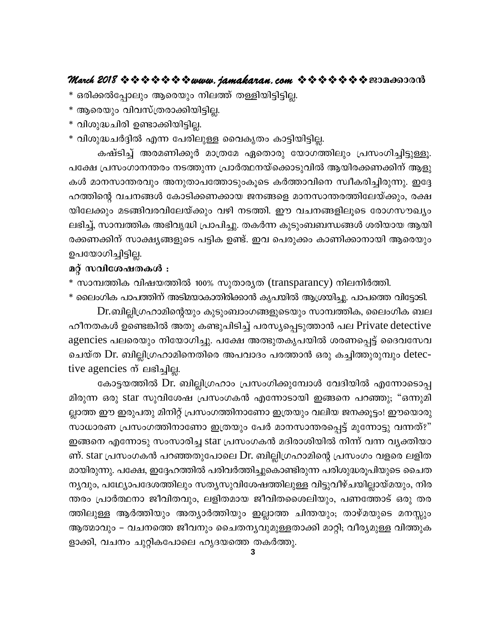- \* ഒരിക്കൽപ്പോലും ആരെയും നിലത്ത് തള്ളിയിട്ടിട്ടില്ല.
- \* ആരെയും വിവസ്ത്രരാക്കിയിട്ടില്ല.
- \* വിശുദ്ധചിരി ഉണ്ടാക്കിയിട്ടില്ല.
- \* വിശുദ്ധചർദ്ദിൽ എന്ന പേരിലുള്ള വൈകൃതം കാട്ടിയിട്ടില്ല.

കഷ്ടിച്ച് അരമണിക്കൂർ മാത്രമേ ഏതൊരു യോഗത്തിലും പ്രസംഗിച്ചിട്ടുള്ളൂ. പക്ഷേ പ്രസംഗാനന്തരം നടത്തുന്ന പ്രാർത്ഥനയ്ക്കൊടുവിൽ ആയിരക്കണക്കിന് ആളു കൾ മാനസാന്തരവും അനുതാപത്തോടുംകൂടെ കർത്താവിനെ സ്വീകരിച്ചിരുന്നു. ഇദ്ദേ ഹത്തിന്റെ വചനങ്ങൾ കോടിക്കണക്കായ ജനങ്ങളെ മാനസാന്തരത്തിലേയ്ക്കും, രക്ഷ യിലേക്കും മടങ്ങിവരവിലേയ്ക്കും വഴി നടത്തി. ഈ വചനങ്ങളിലൂടെ രോഗസൗഖ്യം ലഭിച്ച്, സാമ്പത്തിക അഭിവൃദ്ധി പ്രാപിച്ചു. തകർന്ന കുടുംബബന്ധങ്ങൾ ശരിയായ ആയി രക്കണക്കിന് സാക്ഷ്യങ്ങളുടെ പട്ടിക ഉണ്ട്. ഇവ പെരുക്കം കാണിക്കാനായി ആരെയും ഉപയോഗിച്ചിട്ടില്ല.

#### മറ്റ് സവിശേഷതകൾ :

- \* സാമ്പത്തിക വിഷയത്തിൽ 100% സുതാര്യത (transparancy) നിലനിർത്തി.
- \* ലൈംഗിക പാപത്തിന് അടിമയാകാതിരിക്കാൻ കൃപയിൽ ആശ്രയിച്ചു. പാപത്തെ വിട്ടോടി.

Dr.ബില്ലിഗ്രഹാമിന്റെയും കുടുംബാംഗങ്ങളുടെയും സാമ്പത്തിക, ലൈംഗിക ബല ഹീനതകൾ ഉണ്ടെങ്കിൽ അതു കണ്ടുപിടിച്ച് പരസ്യപ്പെടുത്താൻ പല Private detective agencies പലരെയും നിയോഗിച്ചു. പക്ഷേ അത്ഭുതകൃപയിൽ ശരണപ്പെട്ട് ദൈവസേവ ചെയ്ത Dr. ബില്ലിഗ്രഹാമിനെതിരെ അപവാദം പരത്താൻ ഒരു കച്ചിത്തുരുമ്പും detective agencies ന് ലഭിച്ചില്ല.

കോട്ടയത്തിൽ Dr. ബില്ലിഗ്രഹാം പ്രസംഗിക്കുമ്പോൾ വേദിയിൽ എന്നോടൊപ്പ മിരുന്ന ഒരു star സുവിശേഷ പ്രസംഗകൻ എന്നോടായി ഇങ്ങനെ പറഞ്ഞു; "ഒന്നുമി ല്ലാത്ത ഈ ഇരുപതു മിനിറ്റ് പ്രസംഗത്തിനാണോ ഇത്രയും വലിയ ജനക്കൂട്ടം! ഈയൊരു സാധാരണ പ്രസംഗത്തിനാണോ ഇത്രയും പേർ മാനസാന്തരപ്പെട്ട് മുന്നോട്ടു വന്നത്?" ഇങ്ങനെ എന്നോടു സംസാരിച്ച star പ്രസംഗകൻ മദിരാശിയിൽ നിന്ന് വന്ന വൃക്തിയാ ണ്. star പ്രസംഗകൻ പറഞ്ഞതുപോലെ Dr. ബില്ലിഗ്രഹാമിന്റെ പ്രസംഗം വളരെ ലളിത മായിരുന്നു. പക്ഷേ, ഇദ്ദേഹത്തിൽ പരിവർത്തിച്ചുകൊണ്ടിരുന്ന പരിശുദ്ധരൂപിയുടെ ചൈത നൃവും, പഥ്യോപദേശത്തിലും സതൃസുവിശേഷത്തിലുള്ള വിട്ടുവീഴ്ചയില്ലായ്മയും, നിര ന്തരം പ്രാർത്ഥനാ ജീവിതവും, ലളിതമായ ജീവിതശൈലിയും, പണത്തോട് ഒരു തര ത്തിലുള്ള ആർത്തിയും അത്യാർത്തിയും ഇല്ലാത്ത ചിന്തയും; താഴ്മയുടെ മനസ്സും ആത്മാവും – വചനത്തെ ജീവനും ചൈതനൃവുമുള്ളതാക്കി മാറ്റി; വീര്യമുള്ള വിത്തുക ളാക്കി, വചനം ചുറ്റികപോലെ ഹൃദയത്തെ തകർത്തു.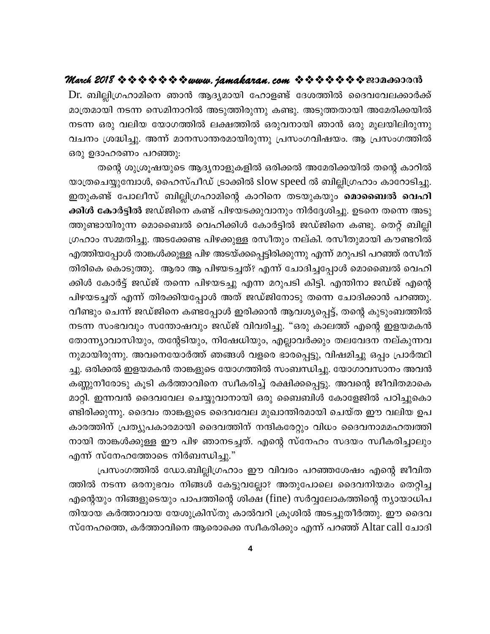Dr. ബില്ലിഗ്രഹാമിനെ ഞാൻ ആദ്യമായി ഹോളണ്ട് ദേശത്തിൽ ദൈവവേലക്കാർക്ക് മാത്രമായി നടന്ന സെമിനാറിൽ അടുത്തിരുന്നു കണ്ടു. അടുത്തതായി അമേരിക്കയിൽ നടന്ന ഒരു വലിയ യോഗത്തിൽ ലക്ഷത്തിൽ ഒരുവനായി ഞാൻ ഒരു മൂലയിലിരുന്നു വചനം ശ്രദ്ധിച്ചു. അന്ന് മാനസാന്തരമായിരുന്നു പ്രസംഗവിഷയം. ആ പ്രസംഗത്തിൽ ഒരു ഉദാഹരണം പറഞ്ഞു:

തന്റെ ശുശ്രൂഷയുടെ ആദ്യനാളുകളിൽ ഒരിക്കൽ അമേരിക്കയിൽ തന്റെ കാറിൽ യാത്രചെയ്യുമ്പോൾ, ഹൈസ്പീഡ് ട്രാക്കിൽ slow speed ൽ ബില്ലിഗ്രഹാം കാറോടിച്ചു. ഇതുകണ്ട് പോലീസ് ബില്ലിഗ്രഹാമിന്റെ കാറിനെ തടയുകയും **മൊബൈൽ വെഹി** ക്കിൾ കോർട്ടിൽ ജഡ്ജിനെ കണ്ട് പിഴയടക്കുവാനും നിർദ്ദേശിച്ചു. ഉടനെ തന്നെ അടു ത്തുണ്ടായിരുന്ന മൊബൈൽ വെഹിക്കിൾ കോർട്ടിൽ ജഡ്ജിനെ കണ്ടു. തെറ്റ് ബില്ലി ഗ്രഹാം സമ്മതിച്ചു. അടക്കേണ്ട പിഴക്കുള്ള രസീതും നല്കി. രസീതുമായി കൗണ്ടറിൽ എത്തിയപ്പോൾ താങ്കൾക്കുള്ള പിഴ അടയ്ക്കപ്പെട്ടിരിക്കുന്നു എന്ന് മറുപടി പറഞ്ഞ് രസീത് തിരികെ കൊടുത്തു. ആരാ ആ പിഴയടച്ചത്? എന്ന് ചോദിച്ചപ്പോൾ മൊബൈൽ വെഹി ക്കിൾ കോർട്ട് ജഡ്ജ് തന്നെ പിഴയടച്ചു എന്ന മറുപടി കിട്ടി. എന്തിനാ ജഡ്ജ് എന്റെ പിഴയടച്ചത് എന്ന് തിരക്കിയപ്പോൾ അത് ജഡ്ജിനോടു തന്നെ ചോദിക്കാൻ പറഞ്ഞു. വീണ്ടും ചെന്ന് ജഡ്ജിനെ കണ്ടപ്പോൾ ഇരിക്കാൻ ആവശ്യപ്പെട്ട്, തന്റെ കുടുംബത്തിൽ നടന്ന സംഭവവും സന്തോഷവും ജഡ്ജ് വിവരിച്ചു. "ഒരു കാലത്ത് എന്റെ ഇളയമകൻ തോന്ന്യാവാസിയും, തന്റേടിയും, നിഷേധിയും, എല്ലാവർക്കും തലവേദന നല്കുന്നവ നുമായിരുന്നു. അവനെയോർത്ത് ഞങ്ങൾ വളരെ ഭാരപ്പെട്ടു, വിഷമിച്ചു ഒപ്പം പ്രാർത്ഥി ച്ചു. ഒരിക്കൽ ഇളയമകൻ താങ്കളുടെ യോഗത്തിൽ സംബന്ധിച്ചു. യോഗാവസാനം അവൻ കണ്ണുനീരോടു കൂടി കർത്താവിനെ സ്വീകരിച്ച് രക്ഷിക്കപ്പെട്ടു. അവന്റെ ജീവിതമാകെ മാറ്റി. ഇന്നവൻ ദൈവവേല ചെയ്യുവാനായി ഒരു ബൈബിൾ കോളേജിൽ പഠിച്ചുകൊ ണ്ടിരിക്കുന്നു. ദൈവം താങ്കളുടെ ദൈവവേല മുഖാന്തിരമായി ചെയ്ത ഈ വലിയ ഉപ കാരത്തിന് പ്രത്യുപകാരമായി ദൈവത്തിന് നന്ദികരേറ്റും വിധം ദൈവനാമമഹത്വത്തി നായി താങ്കൾക്കുള്ള ഈ പിഴ ഞാനടച്ചത്. എന്റെ സ്നേഹം സദയം സ്വീകരിച്ചാലും എന്ന് സ്നേഹത്തോടെ നിർബന്ധിച്ചു."

പ്രസംഗത്തിൽ ഡോ.ബില്ലിഗ്രഹാം ഈ വിവരം പറഞ്ഞശേഷം എന്റെ ജീവിത ത്തിൽ നടന്ന ഒരനുഭവം നിങ്ങൾ കേട്ടുവല്ലോ? അതുപോലെ ദൈവനിയമം തെറ്റിച്ച .എന്റെയും നിങ്ങളുടെയും പാപത്തിന്റെ ശിക്ഷ (fine) സർവ്വലോകത്തിന്റെ ന്യായാധിപ തിയായ കർത്താവായ യേശുക്രിസ്തു കാൽവറി ക്രൂശിൽ അടച്ചുതീർത്തു. ഈ ദൈവ സ്നേഹത്തെ, കർത്താവിനെ ആരൊക്കെ സ്വീകരിക്കും എന്ന് പറഞ്ഞ് Altar call ചോദി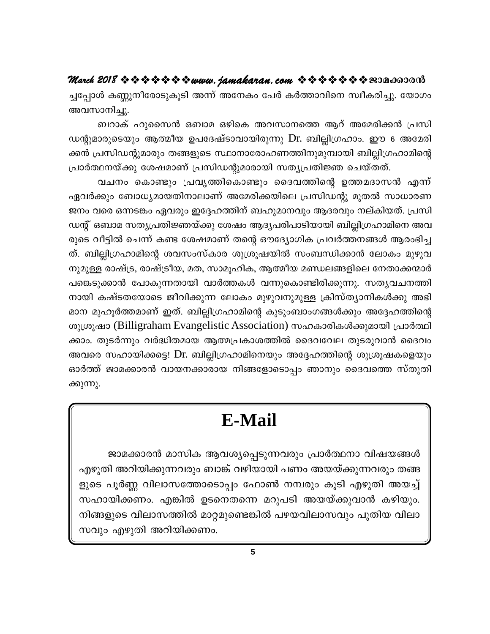ച്ചപ്പോൾ കണ്ണുനീരോടുകൂടി അന്ന് അനേകം പേർ കർത്താവിനെ സ്വീകരിച്ചു. യോഗം അവസാനിച്ചു.

ബറാക് ഹുസൈൻ ഒബാമ ഒഴികെ അവസാനത്തെ ആറ് അമേരിക്കൻ പ്രസി ഡന്റുമാരുടെയും ആത്മീയ ഉപദേഷ്ടാവായിരുന്നു Dr. ബില്ലിഗ്രഹാം. ഈ 6 അമേരി ക്കൻ പ്രസിഡന്റുമാരും തങ്ങളുടെ സ്ഥാനാരോഹണത്തിനുമുമ്പായി ബില്ലിഗ്രഹാമിന്റെ പ്രാർത്ഥനയ്ക്കു ശേഷമാണ് പ്രസിഡന്റുമാരായി സത്യപ്രതിജ്ഞ ചെയ്തത്.

വചനം കൊണ്ടും പ്രവൃത്തികൊണ്ടും ദൈവത്തിന്റെ ഉത്തമദാസൻ എന്ന് ഏവർക്കും ബോധ്യമായതിനാലാണ് അമേരിക്കയിലെ പ്രസിഡന്റു മുതൽ സാധാരണ ജനം വരെ ഒന്നടങ്കം ഏവരും ഇദ്ദേഹത്തിന് ബഹുമാനവും ആദരവും നല്കിയത്. പ്രസി ഡന്റ് ഒബാമ സത്യപ്രതിജ്ഞയ്ക്കു ശേഷം ആദ്യപരിപാടിയായി ബില്ലിഗ്രഹാമിനെ അവ രുടെ വീട്ടിൽ ചെന്ന് കണ്ട ശേഷമാണ് തന്റെ ഔദ്യോഗിക പ്രവർത്തനങ്ങൾ ആരംഭിച്ച ത്. ബില്ലിഗ്രഹാമിന്റെ ശവസംസ്കാര ശുശ്രൂഷയിൽ സംബന്ധിക്കാൻ ലോകം മുഴുവ നുമുള്ള രാഷ്ട്ര, രാഷ്ട്രീയ, മത, സാമൂഹിക, ആത്മീയ മണ്ഡലങ്ങളിലെ നേതാക്കന്മാർ പങ്കെടുക്കാൻ പോകുന്നതായി വാർത്തകൾ വന്നുകൊണ്ടിരിക്കുന്നു. സതൃവചനത്തി നായി കഷ്ടതയോടെ ജീവിക്കുന്ന ലോകം മുഴുവനുമുള്ള ക്രിസ്ത്യാനികൾക്കു അഭി മാന മുഹൂർത്തമാണ് ഇത്. ബില്ലിഗ്രഹാമിന്റെ കുടുംബാംഗങ്ങൾക്കും അദ്ദേഹത്തിന്റെ ശുശ്രൂഷാ (Billigraham Evangelistic Association) സഹകാരികൾക്കുമായി പ്രാർത്ഥി ക്കാം. തുടർന്നും വർദ്ധിതമായ ആത്മപ്രകാശത്തിൽ ദൈവവേല തുടരുവാൻ ദൈവം അവരെ സഹായിക്കട്ടെ! Dr. ബില്ലിഗ്രഹാമിനെയും അദ്ദേഹത്തിന്റെ ശുശ്രൂഷകളെയും ഓർത്ത് ജാമക്കാരൻ വായനക്കാരായ നിങ്ങളോടൊപ്പം ഞാനും ദൈവത്തെ സ്തുതി ക്കുന്നു.

## **E-Mail**

ജാമക്കാരൻ മാസിക ആവശ്യപ്പെടുന്നവരും പ്രാർത്ഥനാ വിഷയങ്ങൾ എഴുതി അറിയിക്കുന്നവരും ബാങ്ക് വഴിയായി പണം അയയ്ക്കുന്നവരും തങ്ങ ളുടെ പൂർണ്ണ വിലാസത്തോടൊപ്പം ഫോൺ നമ്പരും കൂടി എഴുതി അയച്ച് സഹായിക്കണം. എങ്കിൽ ഉടനെതന്നെ മറുപടി അയയ്ക്കുവാൻ കഴിയും. നിങ്ങളുടെ വിലാസത്തിൽ മാറ്റമുണ്ടെങ്കിൽ പഴയവിലാസവും പുതിയ വിലാ സവും എഴുതി അറിയിക്കണം.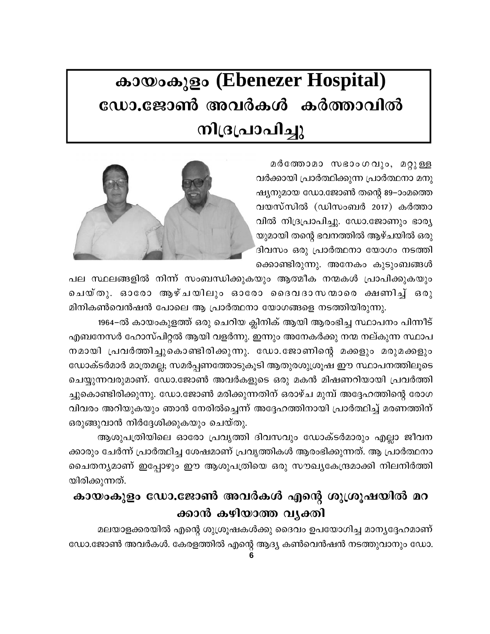# കായംകുളം (Ebenezer Hospital) ഡോ.ജോൺ അവർകൾ കർത്താവിൽ നിദ്രപ്രാപിച്ചു

മർത്തോമാ സഭാംഗവും, മറ്റുള്ള വർക്കായി പ്രാർത്ഥിക്കുന്ന പ്രാർത്ഥനാ മനു ഷ്യനുമായ ഡോ.ജോൺ തന്റെ 89–ാംമത്തെ വയസ്സിൽ (ഡിസംബർ 2017) കർത്താ വിൽ നിദ്രപ്രാപിച്ചു. ഡോ.ജോണും ഭാര്യ യുമായി തന്റെ ഭവനത്തിൽ ആഴ്ചയിൽ ഒരു ദിവസം ഒരു പ്രാർത്ഥനാ യോഗം നടത്തി ക്കൊണ്ടിരുന്നു. അനേകം കൂടുംബങ്ങൾ



പല സ്ഥലങ്ങളിൽ നിന്ന് സംബന്ധിക്കുകയും ആത്മീക നന്മകൾ പ്രാപിക്കുകയും ചെയ്തു. ഓരോ ആഴ്ചയിലും ഓരോ ദൈവദാസന്മാരെ ക്ഷണിച്ച് ഒരു മിനികൺവെൻഷൻ പോലെ ആ പ്രാർത്ഥനാ യോഗങ്ങളെ നടത്തിയിരുന്നു.

1964–ൽ കായംകുളത്ത് ഒരു ചെറിയ ക്ലിനിക് ആയി ആരംഭിച്ച സ്ഥാപനം പിന്നീട് എബനേസർ ഹോസ്പിറ്റൽ ആയി വളർന്നു. ഇന്നും അനേകർക്കു നന്മ നല്കുന്ന സ്ഥാപ നമായി പ്രവർത്തിച്ചുകൊണ്ടിരിക്കുന്നു. ഡോ.ജോണിന്റെ മക്കളും മരുമക്കളും ഡോക്ടർമാർ മാത്രമല്ല; സമർപ്പണത്തോടുകൂടി ആതുരശുശ്രൂഷ ഈ സ്ഥാപനത്തിലൂടെ ചെയ്യുന്നവരുമാണ്. ഡോ.ജോൺ അവർകളുടെ ഒരു മകൻ മിഷണറിയായി പ്രവർത്തി ച്ചുകൊണ്ടിരിക്കുന്നു. ഡോ.ജോൺ മരിക്കുന്നതിന് ഒരാഴ്ച മുമ്പ് അദ്ദേഹത്തിന്റെ രോഗ വിവരം അറിയുകയും ഞാൻ നേരിൽച്ചെന്ന് അദ്ദേഹത്തിനായി പ്രാർത്ഥിച്ച് മരണത്തിന് ഒരുങ്ങുവാൻ നിർദ്ദേശിക്കുകയും ചെയ്തു.

ആശുപത്രിയിലെ ഓരോ പ്രവൃത്തി ദിവസവും ഡോക്ടർമാരും എല്ലാ ജീവന ക്കാരും ചേർന്ന് പ്രാർത്ഥിച്ച ശേഷമാണ് പ്രവൃത്തികൾ ആരംഭിക്കുന്നത്. ആ പ്രാർത്ഥനാ ചൈതന്യമാണ് ഇപ്പോഴും ഈ ആശുപത്രിയെ ഒരു സൗഖ്യകേന്ദ്രമാക്കി നിലനിർത്തി യിരിക്കുന്നത്.

## കായംകുളം ഡോ.ജോൺ അവർകൾ എന്റെ ശുശ്രൂഷയിൽ മറ ക്കാൻ കഴിയാത്ത വൃക്തി

മലയാളക്കരയിൽ എന്റെ ശുശ്രൂഷകൾക്കു ദൈവം ഉപയോഗിച്ച മാനൃദ്ദേഹമാണ് ഡോ.ജോൺ അവർകൾ. കേരളത്തിൽ എന്റെ ആദ്യ കൺവെൻഷൻ നടത്തുവാനും ഡോ.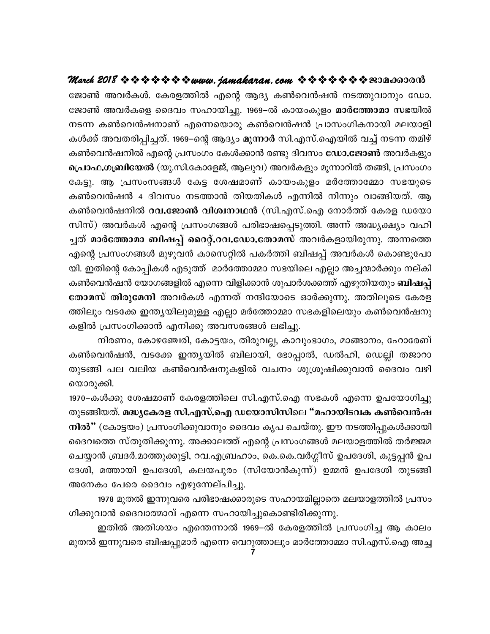ജോൺ അവർകൾ. കേരളത്തിൽ എന്റെ ആദ്യ കൺവെൻഷൻ നടത്തുവാനും ഡോ. ജോൺ അവർകളെ ദൈവം സഹായിച്ചു. 1969–ൽ കായംകുളം മാർത്തോമാ സഭയിൽ നടന്ന കൺവെൻഷനാണ് എന്നെയൊരു കൺവെൻഷൻ പ്രാസംഗികനായി മലയാളി കൾക്ക് അവതരിപ്പിച്ചത്. 1969–ന്റെ ആദ്യം മൂന്നാർ സി.എസ്.ഐയിൽ വച്ച് നടന്ന തമിഴ് കൺവെൻഷനിൽ എന്റെ പ്രസംഗം കേൾക്കാൻ രണ്ടു ദിവസം **ഡോ.ജോൺ** അവർകളും പ്രൊഫ.ഗബ്രിയേൽ (യു.സി.കോളേജ്, ആലുവ) അവർകളും മൂന്നാറിൽ തങ്ങി, പ്രസംഗം കേട്ടു. ആ പ്രസംസങ്ങൾ കേട്ട ശേഷമാണ് കായംകുളം മർത്തോമ്മോ സഭയുടെ കൺവെൻഷൻ 4 ദിവസം നടത്താൻ തിയതികൾ എന്നിൽ നിന്നും വാങ്ങിയത്. ആ കൺവെൻഷനിൽ റവ.ജോൺ വിശ്വനാഥൻ (സി.എസ്.ഐ നോർത്ത് കേരള ഡയോ സിസ്) അവർകൾ എന്റെ പ്രസംഗങ്ങൾ പരിഭാഷപ്പെടുത്തി. അന്ന് അദ്ധ്യക്ഷ്യം വഹി ച്ചത് മാർത്തോമാ ബിഷപ്പ് റൈറ്റ്.റവ.ഡോ.തോമസ് അവർകളായിരുന്നു. അന്നത്തെ എന്റെ പ്രസംഗങ്ങൾ മുഴുവൻ കാസെറ്റിൽ പകർത്തി ബിഷപ്പ് അവർകൾ കൊണ്ടുപോ യി. ഇതിന്റെ കോപ്പികൾ എടുത്ത് മാർത്തോമ്മാ സഭയിലെ എല്ലാ അച്ചന്മാർക്കും നല്കി കൺവെൻഷൻ യോഗങ്ങളിൽ എന്നെ വിളിക്കാൻ ശുപാർശക്കത്ത് എഴുതിയതും **ബിഷപ്പ്** തോമസ് തിരുമേനി അവർകൾ എന്നത് നന്ദിയോടെ ഓർക്കുന്നു. അതിലൂടെ കേരള ത്തിലും വടക്കേ ഇന്ത്യയിലുമുള്ള എല്ലാ മർത്തോമ്മാ സഭകളിലെയും കൺവെൻഷനു കളിൽ പ്രസംഗിക്കാൻ എനിക്കു അവസരങ്ങൾ ലഭിച്ചു.

നിരണം, കോഴഞ്ചേരി, കോട്ടയം, തിരുവല്ല, കാവുംഭാഗം, മാങ്ങാനം, ഹോരേബ് കൺവെൻഷൻ, വടക്കേ ഇന്ത്യയിൽ ബിലായി, ഭോപ്പാൽ, ഡൽഹി, ഡെല്ലി തജാറാ തുടങ്ങി പല വലിയ കൺവെൻഷനുകളിൽ വചനം ശുശ്രൂഷിക്കുവാൻ ദൈവം വഴി യൊരുക്കി.

1970–കൾക്കു ശേഷമാണ് കേരളത്തിലെ സി.എസ്.ഐ സഭകൾ എന്നെ ഉപയോഗിച്ചു തുടങ്ങിയത്. മദ്ധ്യകേരള സി.എസ്.ഐ ഡയോസിസിലെ "മഹായിടവക കൺവെൻഷ നിൽ" (കോട്ടയം) പ്രസംഗിക്കുവാനും ദൈവം കൃപ ചെയ്തു. ഈ നടത്തിപ്പുകൾക്കായി ദൈവത്തെ സ്തുതിക്കുന്നു. അക്കാലത്ത് എന്റെ പ്രസംഗങ്ങൾ മലയാളത്തിൽ തർജ്ജമ ചെയ്യാൻ ബ്രദർ.മാത്തുക്കുട്ടി, റവ.എബ്രഹാം, കെ.കെ.വർഗ്ഗീസ് ഉപദേശി, കുട്ടപ്പൻ ഉപ ദേശി, മത്തായി ഉപദേശി, കലയപുരം (സിയോൻകുന്ന്) ഉമ്മൻ ഉപദേശി തുടങ്ങി അനേകം പേരെ ദൈവം എഴുന്നേല്പിച്ചു.

1978 മുതൽ ഇന്നുവരെ പരിഭാഷക്കാരുടെ സഹായമില്ലാതെ മലയാളത്തിൽ പ്രസം ഗിക്കുവാൻ ദൈവാത്മാവ് എന്നെ സഹായിച്ചുകൊണ്ടിരിക്കുന്നു.

ഇതിൽ അതിശയം എന്തെന്നാൽ 1969–ൽ കേരളത്തിൽ പ്രസംഗിച്ച ആ കാലം മുതൽ ഇന്നുവരെ ബിഷപ്പുമാർ എന്നെ വെറുത്താലും മാർത്തോമ്മാ സി.എസ്.ഐ അച്ച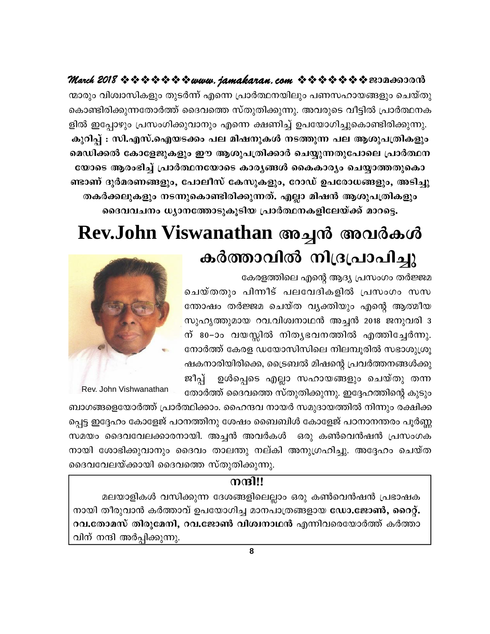ന്മാരും വിശ്വാസികളും തുടർന്ന് എന്നെ പ്രാർത്ഥനയിലും പണസഹായങ്ങളും ചെയ്തു കൊണ്ടിരിക്കുന്നതോർത്ത് ദൈവത്തെ സ്തുതിക്കുന്നു. അവരുടെ വീട്ടിൽ പ്രാർത്ഥനക ളിൽ ഇപ്പോഴും പ്രസംഗിക്കുവാനും എന്നെ ക്ഷണിച്ച് ഉപയോഗിച്ചുകൊണ്ടിരിക്കുന്നു. കുറിപ്പ് : സി.എസ്.ഐയടക്കം പല മിഷനുകൾ നടത്തുന്ന പല ആശുപത്രികളും മെഡിക്കൽ കോളേജുകളും ഈ ആശുപത്രിക്കാർ ചെയ്യുന്നതുപോലെ പ്രാർത്ഥന യോടെ ആരംഭിച്ച് പ്രാർത്ഥനയോടെ കാരൃങ്ങൾ കൈകാര്യം ചെയ്യാത്തതുകൊ ണ്ടാണ് ദുർമരണങ്ങളും, പോലീസ് കേസുകളും, റോഡ് ഉപരോധങ്ങളും, അടിച്ചു തകർക്കലുകളും നടന്നുകൊണ്ടിരിക്കുന്നത്. എല്ലാ മിഷൻ ആശുപത്രികളും ദൈവവചനം ധ്യാനത്തോടുകൂടിയ പ്രാർത്ഥനകളിലേയ്ക്ക് മാറട്ടെ.

# Rev.John Viswanathan അച്ചൻ അവർകൾ കർത്താവിൽ നിദ്രപ്രാപിച്ചു

കേരളത്തിലെ എന്റെ ആദ്യ പ്രസംഗം തർജ്ജമ

ചെയ്തതും പിന്നീട് പലവേദികളിൽ പ്രസംഗം സസ ന്തോഷം തർജ്ജമ ചെയ്ത വൃക്തിയും എന്റെ ആത്മീയ സുഹൃത്തുമായ റവ.വിശ്വനാഥൻ അച്ചൻ 2018 ജനുവരി 3 ന് 80-ാം വയസ്സിൽ നിതൃഭവനത്തിൽ എത്തിച്ചേർന്നു. നോർത്ത് കേരള ഡയോസിസിലെ നിലമ്പുരിൽ സഭാശുശ്രു ഷകനാരിയിരിക്കെ, ട്രൈബൽ മിഷന്റെ പ്രവർത്തനങ്ങൾക്കു ഉൾപ്പെടെ എല്ലാ സഹായങ്ങളും ചെയ്തു തന്ന ജീപ്പ് തോർത്ത് ദൈവത്തെ സ്തുതിക്കുന്നു. ഇദ്ദേഹത്തിന്റെ കുടും



Rev. John Vishwanathan

ബാഗങ്ങളെയോർത്ത് പ്രാർത്ഥിക്കാം. ഹൈന്ദവ നായർ സമുദായത്തിൽ നിന്നും രക്ഷിക്ക പ്പെട്ട ഇദ്ദേഹം കോളേജ് പഠനത്തിനു ശേഷം ബൈബിൾ കോളേജ് പഠനാനന്തരം പൂർണ്ണ സമയം ദൈവവേലക്കാരനായി. അച്ചൻ അവർകൾ ഒരു കൺവെൻഷൻ പ്രസംഗക നായി ശോഭിക്കുവാനും ദൈവം താലന്തു നല്കി അനുഗ്രഹിച്ചു. അദ്ദേഹം ചെയ്ത ദൈവവേലയ്ക്കായി ദൈവത്തെ സ്തുതിക്കുന്നു.

#### നന്ദി!!

മലയാളികൾ വസിക്കുന്ന ദേശങ്ങളിലെല്ലാം ഒരു കൺവെൻഷൻ പ്രഭാഷക നായി തീരുവാൻ കർത്താവ് ഉപയോഗിച്ച മാനപാത്രങ്ങളായ ഡോ.ജോൺ, റൈറ്റ്. റവ.തോമസ് തിരുമേനി, റവ.ജോൺ വിശ്വനാഥൻ എന്നിവരെയോർത്ത് കർത്താ വിന് നന്ദി അർപ്പിക്കുന്നു.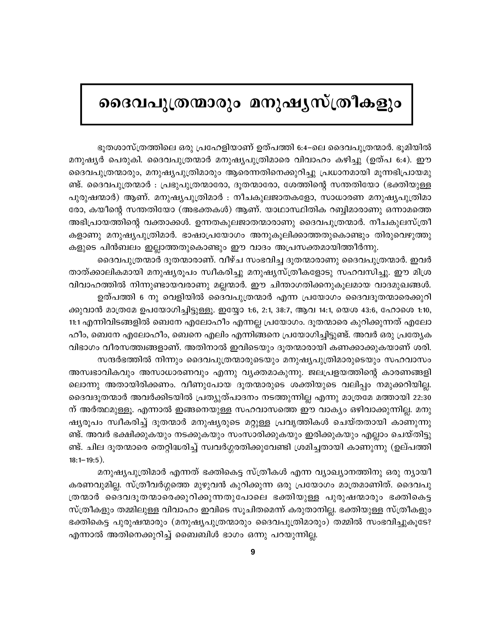## ദൈവപുത്രന്മാരും മനുഷൃസ്ത്രീകളും

ഭുതശാസ്ത്രത്തിലെ ഒരു പ്രഹേളിയാണ് ഉത്പത്തി 6:4–ലെ ദൈവപുത്രന്മാർ. ഭുമിയിൽ മനുഷ്യർ പെരുകി. ദൈവപുത്രന്മാർ മനുഷ്യപുത്രിമാരെ വിവാഹം കഴിച്ചു (ഉത്പ 6:4). ഈ ദൈവപുത്രന്മാരും, മനുഷ്യപുത്രിമാരും ആരെന്നതിനെക്കുറിച്ചു പ്രധാനമായി മൂന്നഭിപ്രായമു ണ്ട്. ദൈവപുത്രന്മാർ : പ്രഭുപുത്രന്മാരോ, ദൂതന്മാരോ, ശേത്തിന്റെ സന്തതിയോ (ഭക്തിയുള്ള പുരുഷന്മാർ) ആണ്. മനുഷ്യപുത്രിമാർ : നീചകുലജാതകളോ, സാധാരണ മനുഷ്യപുത്രിമാ രോ, കയീന്റെ സന്തതിയോ (അഭക്തകൾ) ആണ്. യാഥാസ്ഥിതിക റബ്ബിമാരാണു ഒന്നാമത്തെ അഭിപ്രായത്തിന്റെ വക്താക്കൾ. ഉന്നതകുലജാതന്മാരാണു ദൈവപുത്രന്മാർ. നീചകുലസ്ത്രീ കളാണു മനുഷ്യപുത്രിമാർ. ഭാഷാപ്രയോഗം അനുകൂലിക്കാത്തതുകൊണ്ടും തിരുവെഴുത്തു കളുടെ പിൻബലം ഇല്ലാത്തതുകൊണ്ടും ഈ വാദം അപ്രസക്തമായിത്തീർന്നു.

ദൈവപുത്രന്മാർ ദൂതന്മാരാണ്. വീഴ്ച സംഭവിച്ച ദൂതന്മാരാണു ദൈവപുത്രന്മാർ. ഇവർ താത്ക്കാലികമായി മനുഷ്യരൂപം സ്വീകരിച്ചു മനുഷ്യസ്ത്രീകളോടു സഹവസിച്ചു. ഈ മിശ്ര വിവാഹത്തിൽ നിന്നുണ്ടായവരാണു മല്ലന്മാർ. ഈ ചിന്താഗതിക്കനുകൂലമായ വാദമുഖങ്ങൾ.

ഉത്പത്തി 6 നു വെളിയിൽ ദൈവപുത്രന്മാർ എന്ന പ്രയോഗം ദൈവദൂതന്മാരെക്കുറി ക്കുവാൻ മാത്രമേ ഉപയോഗിച്ചിട്ടുള്ളൂ. ഇയ്യോ 1:6, 2:1, 38:7, ആവ 14:1, യെശ 43:6, ഹോശെ 1:10, 11:1 എന്നിവിടങ്ങളിൽ ബെനേ എലോഹീം എന്നല്ല പ്രയോഗം. ദുതന്മാരെ കുറിക്കുന്നത് എലോ ഹീം, ബെനേ എലോഹീം, ബെനെ എലിം എന്നിങ്ങനെ പ്രയോഗിച്ചിട്ടുണ്ട്. അവർ ഒരു പ്രത്യേക വിഭാഗം വീരസത്ത്വങ്ങളാണ്. അതിനാൽ ഇവിടെയും ദൂതന്മാരായി കണക്കാക്കുകയാണ് ശരി.

സന്ദർഭത്തിൽ നിന്നും ദൈവപുത്രന്മാരുടെയും മനുഷ്യപുത്രിമാരുടെയും സഹവാസം അസ്വഭാവികവും അസാധാരണവും എന്നു വ്യക്തമാകുന്നു. ജലപ്രളയത്തിന്റെ കാരണങ്ങളി ലൊന്നു അതായിരിക്കണം. വീണുപോയ ദൂതന്മാരുടെ ശക്തിയുടെ വലിപ്പം നമുക്കറിയില്ല. ദൈവദൂതന്മാർ അവർക്കിടയിൽ പ്രത്യുത്പാദനം നടത്തുന്നില്ല എന്നു മാത്രമേ മത്തായി 22:30 ന് അർത്ഥമുള്ളു. എന്നാൽ ഇങ്ങനെയുള്ള സഹവാസത്തെ ഈ വാക്യം ഒഴിവാക്കുന്നില്ല. മനു ഷ്യരൂപം സ്വീകരിച്ച് ദൂതന്മാർ മനുഷ്യരുടെ മറ്റുള്ള പ്രവൃത്തികൾ ചെയ്തതായി കാണുന്നു ണ്ട്. അവർ ഭക്ഷിക്കുകയും നടക്കുകയും സംസാരിക്കുകയും ഇരിക്കുകയും എല്ലാം ചെയ്തിട്ടു ണ്ട്. ചില ദൂതന്മാരെ തെറ്റിദ്ധരിച്ച് സ്വവർഗ്ഗരതിക്കുവേണ്ടി ശ്രമിച്ചതായി കാണുന്നു (ഉല്പത്തി  $18:1 - 19:5$ ).

മനുഷ്യപുത്രിമാർ എന്നത് ഭക്തികെട്ട സ്ത്രീകൾ എന്ന വ്യാഖ്യാനത്തിനു ഒരു ന്യായീ കരണവുമില്ല. സ്ത്രീവർഗ്ഗത്തെ മുഴുവൻ കുറിക്കുന്ന ഒരു പ്രയോഗം മാത്രമാണിത്. ദൈവപു ത്രന്മാർ ദൈവദൂതന്മാരെക്കുറിക്കുന്നതുപോലെ ഭക്തിയുള്ള പുരുഷന്മാരും ഭക്തികെട്ട സ്ത്രീകളും തമ്മിലുള്ള വിവാഹം ഇവിടെ സൂചിതമെന്ന് കരുതാനില്ല. ഭക്തിയുള്ള സ്ത്രീകളും ഭക്തികെട്ട പുരുഷന്മാരും (മനുഷ്യപുത്രന്മാരും ദൈവപുത്രിമാരും) തമ്മിൽ സംഭവിച്ചുകൂടേ? എന്നാൽ അതിനെക്കുറിച്ച് ബൈബിൾ ഭാഗം ഒന്നു പറയുന്നില്ല.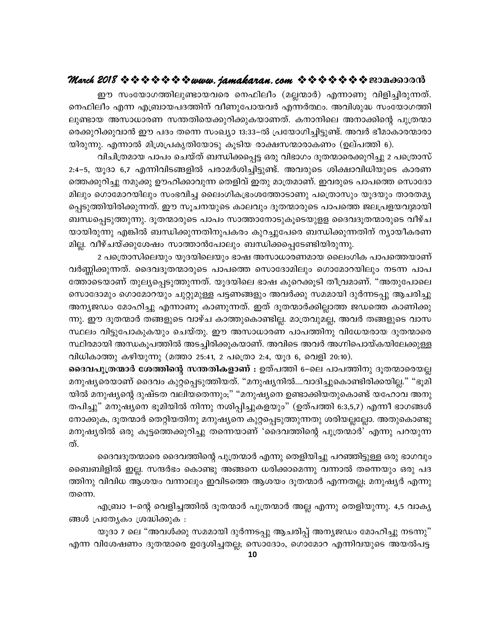ഈ സംയോഗത്തിലുണ്ടായവരെ നെഫിലീം (മല്ലന്മാർ) എന്നാണു വിളിച്ചിരുന്നത്. നെഫിലീം എന്ന എബ്രായപദത്തിന് വീണുപോയവർ എന്നർത്ഥം. അവിശുദ്ധ സംയോഗത്തി ലുണ്ടായ അസാധാരണ സന്തതിയെക്കുറിക്കുകയാണത്. കനാനിലെ അനാക്കിന്റെ പുത്രന്മാ രെക്കുറിക്കുവാൻ ഈ പദം തന്നെ സംഖ്യാ 13:33–ൽ പ്രയോഗിച്ചിട്ടുണ്ട്. അവർ ഭീമാകാരന്മാരാ യിരുന്നു. എന്നാൽ മിശ്രപ്രകൃതിയോടു കൂടിയ രാക്ഷസന്മാരാകണം (ഉല്പത്തി 6).

വിചിത്രമായ പാപം ചെയ്ത് ബന്ധിക്കപ്പെട്ട ഒരു വിഭാഗം ദൂതന്മാരെക്കുറിച്ചു 2 പത്രൊസ് 2:4–5, യൂദാ 6,7 എന്നിവിടങ്ങളിൽ പരാമർശിച്ചിട്ടുണ്ട്. അവരുടെ ശിക്ഷാവിധിയുടെ കാരണ ത്തെക്കുറിച്ചു നമുക്കു ഊഹിക്കാവുന്ന തെളിവ് ഇതു മാത്രമാണ്. ഇവരുടെ പാപത്തെ സൊദോ മിലും ഗൊമോറയിലും സംഭവിച്ച ലൈംഗികഭ്രംശത്തോടാണു പത്രൊസും യൂദയും താരതമ്യ പ്പെടുത്തിയിരിക്കുന്നത്. ഈ സൂചനയുടെ കാലവും ദൂതന്മാരുടെ പാപത്തെ ജലപ്രളയവുമായി ബന്ധപ്പെടുത്തുന്നു. ദൂതന്മാരുടെ പാപം സാത്താനോടുകൂടെയുളള ദൈവദൂതന്മാരുടെ വീഴ്ച യായിരുന്നു എങ്കിൽ ബന്ധിക്കുന്നതിനുപകരം കുറച്ചുപേരെ ബന്ധിക്കുന്നതിന് ന്യായീകരണ മില്ല. വീഴ്ചയ്ക്കുശേഷം സാത്താൻപോലും ബന്ധിക്കപ്പെടേണ്ടിയിരുന്നു.

2 പത്രൊസിലെയും യൂദയിലെയും ഭാഷ അസാധാരണമായ ലൈംഗിക പാപത്തെയാണ് വർണ്ണിക്കുന്നത്. ദൈവദൂതന്മാരുടെ പാപത്തെ സൊദോമിലും ഗൊമോറയിലും നടന്ന പാപ ത്തോടെയാണ് തുല്യപ്പെടുത്തുന്നത്. യൂദയിലെ ഭാഷ കുറെക്കൂടി തീവ്രമാണ്. "അതുപോലെ സൊദോമും ഗൊമോറയും ചുറ്റുമുള്ള പട്ടണങ്ങളും അവർക്കു സമമായി ദുർന്നടപ്പു ആചരിച്ചു അന്യജഡം മോഹിച്ചു എന്നാണു കാണുന്നത്. ഇത് ദൂതന്മാർക്കില്ലാത്ത ജഡത്തെ കാണിക്കു ന്നു. ഈ ദൂതന്മാർ തങ്ങളുടെ വാഴ്ച കാത്തുകൊണ്ടില്ല. മാത്രവുമല്ല, അവർ തങ്ങളുടെ വാസ സ്ഥലം വിട്ടുപോകുകയും ചെയ്തു. ഈ അസാധാരണ പാപത്തിനു വിധേയരായ ദൂതന്മാരെ സ്ഥിരമായി അന്ധകൂപത്തിൽ അടച്ചിരിക്കുകയാണ്. അവിടെ അവർ അഗ്നിപൊയ്കയിലേക്കുള്ള വിധികാത്തു കഴിയുന്നു (മത്താ 25:41, 2 പത്രൊ 2:4, യൂദ 6, വെളി 20:10).

ദൈവപുത്രന്മാർ ശേത്തിന്റെ സന്തതികളാണ് : ഉത്പത്തി 6–ലെ പാപത്തിനു ദൂതന്മാരെയല്ല മനുഷ്യരെയാണ് ദൈവം കുറ്റപ്പെടുത്തിയത്. "മനുഷ്യനിൽ….വാദിച്ചുകൊണ്ടിരിക്കയില്ല." "ഭൂമി യിൽ മനുഷ്യന്റെ ദുഷ്ടത വലിയതെന്നും;" "മനുഷ്യനെ ഉണ്ടാക്കിയതുകൊണ്ട് യഹോവ അനു തപിച്ചു" മനുഷ്യനെ ഭൂമിയിൽ നിന്നു നശിപ്പിച്ചുകളയും" (ഉത്പത്തി 6:3,5,7) എന്നീ ഭാഗങ്ങൾ നോക്കുക, ദൂതന്മാർ തെറ്റിയതിനു മനുഷ്യനെ കുറ്റപ്പെടുത്തുന്നതു ശരിയല്ലല്ലോ. അതുകൊണ്ടു മനുഷ്യരിൽ ഒരു കൂട്ടത്തെക്കുറിച്ചു തന്നെയാണ് 'ദൈവത്തിന്റെ പുത്രന്മാർ' എന്നു പറയുന്ന ത്.

ദൈവദൂതന്മാരെ ദൈവത്തിന്റെ പുത്രന്മാർ എന്നു തെളിയിച്ചു പറഞ്ഞിട്ടുള്ള ഒരു ഭാഗവും ബൈബിളിൽ ഇല്ല. സന്ദർഭം കൊണ്ടു അങ്ങനെ ധരിക്കാമെന്നു വന്നാൽ തന്നെയും ഒരു പദ ത്തിനു വിവിധ ആശയം വന്നാലും ഇവിടത്തെ ആശയം ദൂതന്മാർ എന്നതല്ല; മനുഷ്യർ എന്നു തന്നെ.

എബ്രാ 1–ന്റെ വെളിച്ചത്തിൽ ദൂതന്മാർ പുത്രന്മാർ അല്ല എന്നു തെളിയുന്നു. 4,5 വാക്യ ങ്ങൾ പ്രത്യേകം ശ്രദ്ധിക്കുക :

യൂദാ 7 ലെ "അവൾക്കു സമമായി ദുർന്നടപ്പു ആചരിപ്പ് അന്യജഡം മോഹിച്ചു നടന്നു" എന്ന വിശേഷണം ദൂതന്മാരെ ഉദ്ദേശിച്ചതല്ല; സൊദോം, ഗൊമോറ എന്നിവയുടെ അയൽപട്ട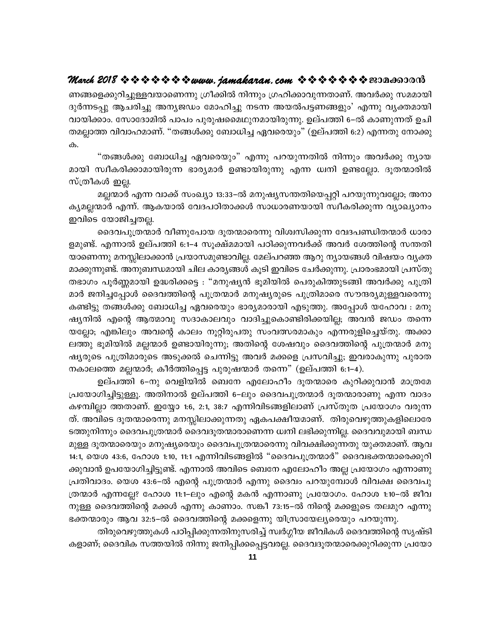ണങ്ങളെക്കുറിച്ചുള്ളവയാണെന്നു ഗ്രീക്കിൽ നിന്നും ഗ്രഹിക്കാവുന്നതാണ്. അവർക്കു സമമായി ദുർന്നടപ്പു ആചരിച്ചു അന്യജഡം മോഹിച്ചു നടന്ന അയൽപട്ടണങ്ങളും' എന്നു വൃക്തമായി വായിക്കാം. സോദോമിൽ പാപം പുരുഷമൈഥുനമായിരുന്നു. ഉല്പത്തി 6–ൽ കാണുന്നത് ഉചി തമല്ലാത്ത വിവാഹമാണ്. "തങ്ങൾക്കു ബോധിച്ച ഏവരെയും" (ഉല്പത്തി 6:2) എന്നതു നോക്കു ക.

"തങ്ങൾക്കു ബോധിച്ച ഏവരെയും" എന്നു പറയുന്നതിൽ നിന്നും അവർക്കു ന്യായ മായി സ്ഥീകരിക്കാമായിരുന്ന ഭാര്യമാർ ഉണ്ടായിരുന്നു എന്ന ധ്വനി ഉണ്ടല്ലോ. ദൂതന്മാരിൽ സ്ത്രീകൾ ഇല്ല.

മല്ലന്മാർ എന്ന വാക്ക് സംഖ്യാ 13:33–ൽ മനുഷ്യസന്തതിയെപ്പറ്റി പറയുന്നുവല്ലോ; അനാ കൃമല്ലന്മാർ എന്ന്. ആകയാൽ വേദപഠിതാക്കൾ സാധാരണയായി സ്വീകരിക്കുന്ന വ്യാഖ്യാനം ഇവിടെ യോജിച്ചതല്ല.

ദൈവപുത്രന്മാർ വീണുപോയ ദൂതന്മാരെന്നു വിശ്വസിക്കുന്ന വേദപണ്ഡിതന്മാർ ധാരാ ളമുണ്ട്. എന്നാൽ ഉല്പത്തി 6:1–4 സൂക്ഷ്മമായി പഠിക്കുന്നവർക്ക് അവർ ശേത്തിന്റെ സന്തതി യാണെന്നു മനസ്സിലാക്കാൻ പ്രയാസമുണ്ടാവില്ല. മേല്പറഞ്ഞ ആറു ന്യായങ്ങൾ വിഷയം വ്യക്ത മാക്കുന്നുണ്ട്. അനുബന്ധമായി ചില കാര്യങ്ങൾ കൂടി ഇവിടെ ചേർക്കുന്നു. പ്രാരംഭമായി പ്രസ്തു തഭാഗം പൂർണ്ണമായി ഉദ്ധരിക്കട്ടെ : "മനുഷ്യൻ ഭൂമിയിൽ പെരുകിത്തുടങ്ങി അവർക്കു പുത്രി മാർ ജനിച്ചപ്പോൾ ദൈവത്തിന്റെ പുത്രന്മാർ മനുഷ്യരുടെ പുത്രിമാരെ സൗന്ദര്യമുള്ളവരെന്നു കണ്ടിട്ടു തങ്ങൾക്കു ബോധിച്ച ഏവരെയും ഭാര്യമാരായി എടുത്തു. അപ്പോൾ യഹോവ : മനു ഷ്യനിൽ എന്റെ ആത്മാവു സദാകാലവും വാദിച്ചുകൊണ്ടിരിക്കയില്ല; അവൻ ജഡം തന്നെ യല്ലോ; എങ്കിലും അവന്റെ കാലം നൂറ്റിരുപതു സംവത്സരമാകും എന്നരുളിച്ചെയ്തു. അക്കാ ലത്തു ഭൂമിയിൽ മല്ലന്മാർ ഉണ്ടായിരുന്നു; അതിന്റെ ശേഷവും ദൈവത്തിന്റെ പുത്രന്മാർ മനു ഷ്യരുടെ പുത്രിമാരുടെ അടുക്കൽ ചെന്നിട്ടു അവർ മക്കളെ പ്രസവിച്ചു; ഇവരാകുന്നു പുരാത നകാലത്തെ മല്ലന്മാർ; കീർത്തിപ്പെട്ട പുരുഷന്മാർ തന്നെ" (ഉല്പത്തി 6:1–4).

ഉല്പത്തി 6–നു വെളിയിൽ ബെനേ എലോഹീം ദൂതന്മാരെ കുറിക്കുവാൻ മാത്രമേ പ്രയോഗിച്ചിട്ടുള്ളൂ. അതിനാൽ ഉല്പത്തി 6–ലും ദൈവപുത്രന്മാർ ദൂതന്മാരാണു എന്ന വാദം കഴമ്പില്ലാ ത്തതാണ്. ഇയ്യോ 1:6, 2:1, 38:7 എന്നിവിടങ്ങളിലാണ് പ്രസ്തുത പ്രയോഗം വരുന്ന ത്. അവിടെ ദൂതന്മാരെന്നു മനസ്സിലാക്കുന്നതു ഏകപക്ഷീയമാണ്. തിരുവെഴുത്തുകളിലൊരേ ടത്തുനിന്നും ദൈവപുത്രന്മാർ ദൈവദൂതന്മാരാണെന്ന ധ്വനി ലഭിക്കുന്നില്ല. ദൈവവുമായി ബന്ധ മുള്ള ദൂതന്മാരെയും മനുഷ്യരെയും ദൈവപുത്രന്മാരെന്നു വിവക്ഷിക്കുന്നതു യുക്തമാണ്. ആവ 14:1, യെശ 43:6, ഹോശ 1:10, 11:1 എന്നിവിടങ്ങളിൽ "ദൈവപുത്രന്മാർ" ദൈവഭക്തന്മാരെക്കുറി ക്കുവാൻ ഉപയോഗിച്ചിട്ടുണ്ട്. എന്നാൽ അവിടെ ബെനേ എലോഹീം അല്ല പ്രയോഗം എന്നാണു പ്രതിവാദം. യെശ 43:6–ൽ എന്റെ പുത്രന്മാർ എന്നു ദൈവം പറയുമ്പോൾ വിവക്ഷ ദൈവപു ത്രന്മാർ എന്നല്ലേ? ഹോശ 11:1–ലും എന്റെ മകൻ എന്നാണു പ്രയോഗം. ഹോശ 1:10–ൽ ജീവ നുള്ള ദൈവത്തിന്റെ മക്കൾ എന്നു കാണാം. സങ്കീ 73:15–ൽ നിന്റെ മക്കളുടെ തലമുറ എന്നു ഭക്തന്മാരും ആവ 32:5–ൽ ദൈവത്തിന്റെ മക്കളെന്നു യിസ്രായേല്യരെയും പറയുന്നു.

തിരുവെഴുത്തുകൾ പഠിപ്പിക്കുന്നതിനുസരിച്ച് സ്വർഗ്ഗീയ ജീവികൾ ദൈവത്തിന്റെ സൃഷ്ടി കളാണ്; ദൈവിക സത്തയിൽ നിന്നു ജനിപ്പിക്കപ്പെട്ടവരല്ല. ദൈവദൂതന്മാരെക്കുറിക്കുന്ന പ്രയോ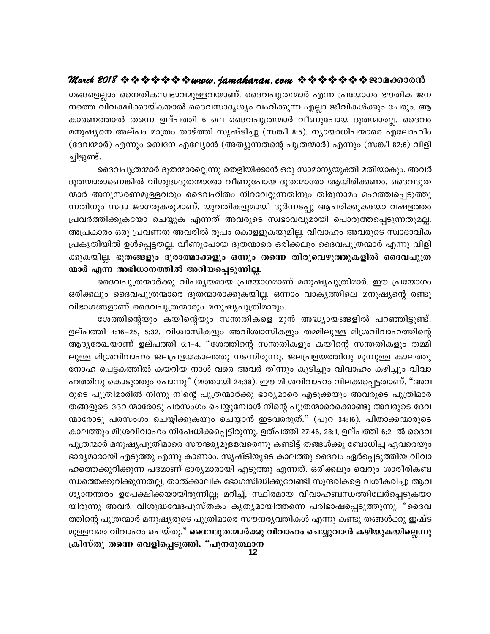ഗങ്ങളെല്ലാം നൈതികസ്വഭാവമുള്ളവയാണ്. ദൈവപുത്രന്മാർ എന്ന പ്രയോഗം ഭൗതിക ജന നത്തെ വിവക്ഷിക്കായ്കയാൽ ദൈവസാദൃശ്യം വഹിക്കുന്ന എല്ലാ ജീവികൾക്കും ചേരും. ആ കാരണത്താൽ തന്നെ ഉല്പത്തി 6–ലെ ദൈവപുത്രന്മാർ വീണുപോയ ദൂതന്മാരല്ല. ദൈവം മനുഷ്യനെ അല്പം മാത്രം താഴ്ത്തി സൃഷ്ടിച്ചു (സങ്കീ 8:5). ന്യായാധിപന്മാരെ എലോഹീം (ദേവന്മാർ) എന്നും ബെനേ എല്യോൻ (അത്യുന്നതന്റെ പുത്രന്മാർ) എന്നും (സങ്കീ 82:6) വിളി ച്ചിട്ടുണ്ട്.

ദൈവപുത്രന്മാർ ദൂതന്മാരല്ലെന്നു തെളിയിക്കാൻ ഒരു സാമാന്യയുക്തി മതിയാകും. അവർ ദൂതന്മാരാണെങ്കിൽ വിശുദ്ധദൂതന്മാരോ വീണുപോയ ദൂതന്മാരോ ആയിരിക്കണം. ദൈവദൂത ന്മാർ അനുസരണമുള്ളവരും ദൈവഹിതം നിറവേറ്റുന്നതിനും തിരുനാമം മഹത്ത്വപ്പെടുത്തു ന്നതിനും സദാ ജാഗരൂകരുമാണ്. യുവതികളുമായി ദുർന്നടപ്പു ആചരിക്കുകയോ വഷളത്തം പ്രവർത്തിക്കുകയോ ചെയ്യുക എന്നത് അവരുടെ സ്വഭാവവുമായി പൊരുത്തപ്പെടുന്നതുമല്ല. അപ്രകാരം ഒരു പ്രവണത അവരിൽ രൂപം കൊളളുകയുമില്ല. വിവാഹം അവരുടെ സ്വാഭാവിക പ്രകൃതിയിൽ ഉൾപ്പെട്ടതല്ല. വീണുപോയ ദൂതന്മാരെ ഒരിക്കലും ദൈവപുത്രന്മാർ എന്നു വിളി ക്കുകയില്ല. ഭൂതങ്ങളും ദുരാത്മാക്കളും ഒന്നും തന്നെ തിരുവെഴുത്തുകളിൽ ദൈവപുത്ര ന്മാർ എന്ന അഭിധാനത്തിൽ അറിയപ്പെടുന്നില്ല.

ദൈവപുത്രന്മാർക്കു വിപര്യയമായ പ്രയോഗമാണ് മനുഷ്യപുത്രിമാർ. ഈ പ്രയോഗം ഒരിക്കലും ദൈവപുത്രന്മാരെ ദൂതന്മാരാക്കുകയില്ല. ഒന്നാം വാകൃത്തിലെ മനുഷ്യന്റെ രണ്ടു വിഭാഗങ്ങളാണ് ദൈവപുത്രന്മാരും മനുഷ്യപുത്രിമാരും.

ശേത്തിന്റെയും കയീന്റെയും സന്തതികളെ മുൻ അദ്ധ്യായങ്ങളിൽ പറഞ്ഞിട്ടുണ്ട്. ഉല്പത്തി 4:16–25, 5:32. വിശ്വാസികളും അവിശ്വാസികളും തമ്മിലുള്ള മിശ്രവിവാഹത്തിന്റെ ആദ്യരേഖയാണ് ഉല്പത്തി 6:1–4. "ശേത്തിന്റെ സന്തതികളും കയീന്റെ സന്തതികളും തമ്മി ലുള്ള മിശ്രവിവാഹം ജലപ്രളയകാലത്തു നടന്നിരുന്നു. ജലപ്രളയത്തിനു മുമ്പുള്ള കാലത്തു നോഹ പെട്ടകത്തിൽ കയറിയ നാൾ വരെ അവർ തിന്നും കുടിച്ചും വിവാഹം കഴിച്ചും വിവാ ഹത്തിനു കൊടുത്തും പോന്നു" (മത്തായി 24:38). ഈ മിശ്രവിവാഹം വിലക്കപ്പെട്ടതാണ്. "അവ രുടെ പുത്രിമാരിൽ നിന്നു നിന്റെ പുത്രന്മാർക്കു ഭാര്യമാരെ എടുക്കയും അവരുടെ പുത്രിമാർ തങ്ങളുടെ ദേവന്മാരോടു പരസംഗം ചെയ്യുമ്പോൾ നിന്റെ പുത്രന്മാരെക്കൊണ്ടു അവരുടെ ദേവ ന്മാരോടു പരസംഗം ചെയ്യിക്കുകയും ചെയ്യാൻ ഇടവരരുത്." (പുറ 34:16). പിതാക്കന്മാരുടെ കാലത്തും മിശ്രവിവാഹം നിഷേധിക്കപ്പെട്ടിരുന്നു. ഉത്പത്തി 27:46, 28:1, ഉല്പത്തി 6:2–ൽ ദൈവ പുത്രന്മാർ മനുഷ്യപുത്രിമാരെ സൗന്ദര്യമുള്ളവരെന്നു കണ്ടിട്ട് തങ്ങൾക്കു ബോധിച്ച ഏവരെയും ഭാര്യമാരായി എടുത്തു എന്നു കാണാം. സൃഷ്ടിയുടെ കാലത്തു ദൈവം ഏർപ്പെടുത്തിയ വിവാ ഹത്തെക്കുറിക്കുന്ന പദമാണ് ഭാര്യമാരായി എടുത്തു എന്നത്. ഒരിക്കലും വെറും ശാരീരികബ ന്ധത്തെക്കുറിക്കുന്നതല്ല, താൽക്കാലിക ഭോഗസിദ്ധിക്കുവേണ്ടി സുന്ദരികളെ വശീകരിച്ചു ആവ ശ്യാനന്തരം ഉപേക്ഷിക്കയായിരുന്നില്ല; മറിച്ച്, സ്ഥിരമായ വിവാഹബന്ധത്തിലേർപ്പെടുകയാ യിരുന്നു അവർ. വിശുദ്ധവേദപുസ്തകം കൃത്യമായിത്തന്നെ പരിഭാഷപ്പെടുത്തുന്നു. "ദൈവ ത്തിന്റെ പുത്രന്മാർ മനുഷ്യരുടെ പുത്രിമാരെ സൗന്ദര്യവതികൾ എന്നു കണ്ടു തങ്ങൾക്കു ഇഷ്ട മുള്ളവരെ വിവാഹം ചെയ്തു." ദൈവദൂതന്മാർക്കു വിവാഹം ചെയ്യുവാൻ കഴിയുകയില്ലെന്നു ക്രിസ്തു തന്നെ വെളിപ്പെടുത്തി. "പുനരുത്ഥാന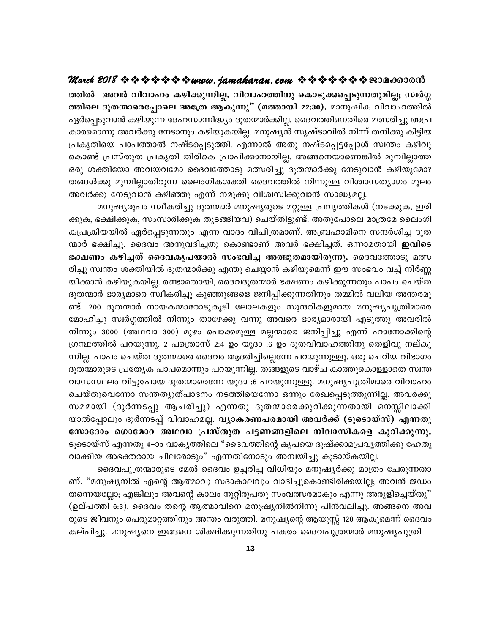ത്തിൽ അവർ വിവാഹം കഴിക്കുന്നില്ല. വിവാഹത്തിനു കൊടുക്കപ്പെടുന്നതുമില്ല; സ്വർഗ്ഗ ത്തിലെ ദൂതന്മാരെപ്പോലെ അത്രേ ആകുന്നു" (മത്തായി 22:30). മാനുഷിക വിവാഹത്തിൽ ഏർപ്പെടുവാൻ കഴിയുന്ന ദേഹസാന്നിദ്ധ്യം ദൂതന്മാർക്കില്ല. ദൈവത്തിനെതിരെ മത്സരിച്ചു അപ്ര കാരമൊന്നു അവർക്കു നേടാനും കഴിയുകയില്ല. മനുഷ്യൻ സൃഷ്ടാവിൽ നിന്ന് തനിക്കു കിട്ടിയ പ്രകൃതിയെ പാപത്താൽ നഷ്ടപ്പെടുത്തി. എന്നാൽ അതു നഷ്ടപ്പെട്ടപ്പോൾ സ്വന്തം കഴിവു കൊണ്ട് പ്രസ്തുത പ്രകൃതി തിരികെ പ്രാപിക്കാനായില്ല. അങ്ങനെയാണെങ്കിൽ മുമ്പില്ലാത്ത ഒരു ശക്തിയോ അവയവമോ ദൈവത്തോടു മത്സരിച്ചു ദൂതന്മാർക്കു നേടുവാൻ കഴിയുമോ? തങ്ങൾക്കു മുമ്പില്ലാതിരുന്ന ലൈംഗികശക്തി ദൈവത്തിൽ നിന്നുള്ള വിശ്വാസത്യാഗം മൂലം അവർക്കു നേടുവാൻ കഴിഞ്ഞു എന്ന് നമുക്കു വിശ്വസിക്കുവാൻ സാദ്ധ്യമല്ല.

മനുഷ്യരൂപം സ്വീകരിച്ചു ദൂതന്മാർ മനുഷ്യരുടെ മറ്റുള്ള പ്രവൃത്തികൾ (നടക്കുക, ഇരി ക്കുക, ഭക്ഷിക്കുക, സംസാരിക്കുക തുടങ്ങിയവ) ചെയ്തിട്ടുണ്ട്. അതുപോലെ മാത്രമേ ലൈംഗി കപ്രക്രിയയിൽ ഏർപ്പെടുന്നതും എന്ന വാദം വിചിത്രമാണ്. അബ്രഹാമിനെ സന്ദർശിച്ച ദൂത ന്മാർ ഭക്ഷിച്ചു. ദൈവം അനുവദിച്ചതു കൊണ്ടാണ് അവർ ഭക്ഷിച്ചത്. ഒന്നാമതായി **ഇവിടെ** ഭക്ഷണം കഴിച്ചത് ദൈവകൃപയാൽ സംഭവിച്ച അത്ഭുതമായിരുന്നു. ദൈവത്തോടു മത്സ രിച്ചു സ്വന്തം ശക്തിയിൽ ദൂതന്മാർക്കു എന്തു ചെയ്യാൻ കഴിയുമെന്ന് ഈ സംഭവം വച്ച് നിർണ്ണ യിക്കാൻ കഴിയുകയില്ല. രണ്ടാമതായി, ദൈവദൂതന്മാർ ഭക്ഷണം കഴിക്കുന്നതും പാപം ചെയ്ത ദൂതന്മാർ ഭാര്യമാരെ സ്വീകരിച്ചു കുഞ്ഞുങ്ങളെ ജനിപ്പിക്കുന്നതിനും തമ്മിൽ വലിയ അന്തരമു ണ്ട്. 200 ദൂതന്മാർ നായകന്മാരോടൂകൂടി ലോലകളും സുന്ദരികളുമായ മനുഷ്യപുത്രിമാരെ മോഹിച്ചു സ്വർഗ്ഗത്തിൽ നിന്നും താഴേക്കു വന്നു അവരെ ഭാര്യമാരായി എടുത്തു അവരിൽ നിന്നും 3000 (അഥവാ 300) മുഴം പൊക്കമുള്ള മല്ലന്മാരെ ജനിപ്പിച്ചു എന്ന് ഹാനോക്കിന്റെ ഗ്രന്ഥത്തിൽ പറയുന്നു. 2 പത്രൊസ് 2:4 ഉം യൂദാ :6 ഉം ദൂതവിവാഹത്തിനു തെളിവു നല്കു ന്നില്ല. പാപം ചെയ്ത ദുതന്മാരെ ദൈവം ആദരിച്ചില്ലെന്നേ പറയുന്നുള്ളൂ. ഒരു ചെറിയ വിഭാഗം ദൂതന്മാരുടെ പ്രത്യേക പാപമൊന്നും പറയുന്നില്ല. തങ്ങളുടെ വാഴ്ച കാത്തുകൊള്ളാതെ സ്വന്ത വാസസ്ഥലം വിട്ടുപോയ ദൂതന്മാരെന്നേ യൂദാ :6 പറയുന്നുള്ളൂ. മനുഷ്യപുത്രിമാരെ വിവാഹം ചെയ്തുവെന്നോ സന്തത്യുത്പാദനം നടത്തിയെന്നോ ഒന്നും രേഖപ്പെടുത്തുന്നില്ല. അവർക്കു സമമായി (ദുർന്നടപ്പു ആചരിച്ചു) എന്നതു ദൂതന്മാരെക്കുറിക്കുന്നതായി മനസ്സിലാക്കി യാൽപ്പോലും ദുർന്നടപ്പ് വിവാഹമല്ല. വ്യാകരണപരമായി അവർക്ക് (ടൂടൊയ്സ്) എന്നതു സോദോം ഗൊമോറ അഥവാ പ്രസ്തുത പട്ടണങ്ങളിലെ നിവാസികളെ കുറിക്കുന്നു. ടൂടൊയ്സ് എന്നതു 4–ാം വാകൃത്തിലെ "ദൈവത്തിന്റെ കൃപയെ ദുഷ്ക്കാമപ്രവൃത്തിക്കു ഹേതു വാക്കിയ അഭക്തരായ ചിലരോടും" എന്നതിനോടും അമ്പയിച്ചു കൂടായ്കയില്ല.

ദൈവപുത്രന്മാരുടെ മേൽ ദൈവം ഉച്ചരിച്ച വിധിയും മനുഷ്യർക്കു മാത്രം ചേരുന്നതാ ണ്. "മനുഷ്യനിൽ എന്റെ ആത്മാവു സദാകാലവും വാദിച്ചുകൊണ്ടിരിക്കയില്ല; അവൻ ജഡം തന്നെയല്ലോ; എങ്കിലും അവന്റെ കാലം നൂറ്റിരുപതു സംവത്സരമാകും എന്നു അരുളിച്ചെയ്തു" (ഉല്പത്തി 6:3). ദൈവം തന്റെ ആത്മാവിനെ മനുഷ്യനിൽനിന്നു പിൻവലിച്ചു. അങ്ങനെ അവ രുടെ ജീവനും പെരുമാറ്റത്തിനും അന്തം വരുത്തി. മനുഷ്യന്റെ ആയുസ്സ് 120 ആകുമെന്ന് ദൈവം കല്പിച്ചു. മനുഷ്യനെ ഇങ്ങനെ ശിക്ഷിക്കുന്നതിനു പകരം ദൈവപുത്രന്മാർ മനുഷ്യപുത്രി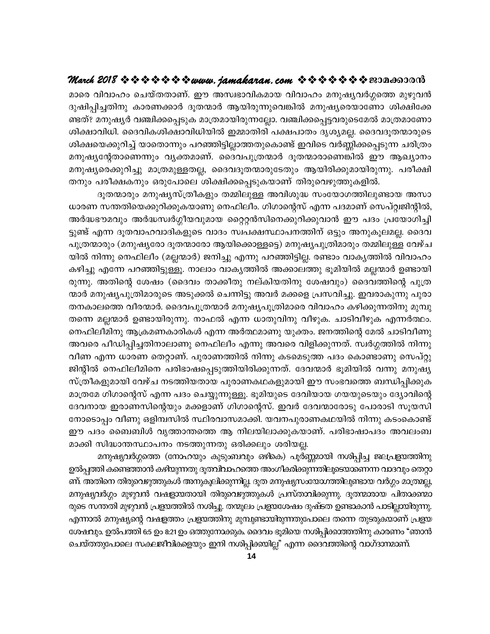മാരെ വിവാഹം ചെയ്തതാണ്. ഈ അസ്വഭാവികമായ വിവാഹം മനുഷ്യവർഗ്ഗത്തെ മുഴുവൻ ദുഷിപ്പിച്ചതിനു കാരണക്കാർ ദൂതന്മാർ ആയിരുന്നുവെങ്കിൽ മനുഷ്യരെയാണോ ശിക്ഷിക്കേ ണ്ടത്? മനുഷ്യർ വഞ്ചിക്കപ്പെടുക മാത്രമായിരുന്നല്ലോ. വഞ്ചിക്കപ്പെട്ടവരുടെമേൽ മാത്രമാണോ ശിക്ഷാവിധി. ദൈവികശിക്ഷാവിധിയിൽ ഇമ്മാതിരി പക്ഷപാതം ദൃശ്യമല്ല. ദൈവദൂതന്മാരുടെ ശിക്ഷയെക്കുറിച്ച് യാതൊന്നും പറഞ്ഞിട്ടില്ലാത്തതുകൊണ്ട് ഇവിടെ വർണ്ണിക്കപ്പെടുന്ന ചരിത്രം മനുഷ്യന്റേതാണെന്നും വ്യക്തമാണ്. ദൈവപുത്രന്മാർ ദൂതന്മാരാണെങ്കിൽ ഈ ആഖ്യാനം മനുഷ്യരെക്കുറിച്ചു മാത്രമുള്ളതല്ല, ദൈവദൂതന്മാരുടേതും ആയിരിക്കുമായിരുന്നു. പരീക്ഷി തനും പരീക്ഷകനും ഒരുപോലെ ശിക്ഷിക്കപ്പെടുകയാണ് തിരുവെഴുത്തുകളിൽ.

ദൂതന്മാരും മനുഷ്യസ്ത്രീകളും തമ്മിലുള്ള അവിശുദ്ധ സംയോഗത്തിലുണ്ടായ അസാ ധാരണ സന്തതിയെക്കുറിക്കുകയാണു നെഫിലീം. ഗിഗാന്റെസ് എന്ന പദമാണ് സെപ്റ്റ്വജിന്റിൽ, അർദ്ധഭൗമവും അർദ്ധസ്വർഗ്ഗീയവുമായ റ്റൈറ്റൻസിനെക്കുറിക്കുവാൻ ഈ പദം പ്രയോഗിച്ചി ട്ടുണ്ട് എന്ന ദൂതവാഹവാദികളുടെ വാദം സ്വപക്ഷസ്ഥാപനത്തിന് ഒട്ടും അനുകൂലമല്ല. ദൈവ പുത്രന്മാരും (മനുഷ്യരോ ദൂതന്മാരോ ആയിക്കൊള്ളട്ടെ) മനുഷ്യപുത്രിമാരും തമ്മിലുള്ള വേഴ്ച യിൽ നിന്നു നെഫിലീം (മല്ലന്മാർ) ജനിച്ചു എന്നു പറഞ്ഞിട്ടില്ല. രണ്ടാം വാകൃത്തിൽ വിവാഹം കഴിച്ചു എന്നേ പറഞ്ഞിട്ടുള്ളൂ. നാലാം വാകൃത്തിൽ അക്കാലത്തു ഭൂമിയിൽ മല്ലന്മാർ ഉണ്ടായി രുന്നു. അതിന്റെ ശേഷം (ദൈവം താക്കീതു നല്കിയതിനു ശേഷവും) ദൈവത്തിന്റെ പുത്ര ന്മാർ മനുഷ്യപുത്രിമാരുടെ അടുക്കൽ ചെന്നിട്ടു അവർ മക്കളെ പ്രസവിച്ചു. ഇവരാകുന്നു പുരാ തനകാലത്തെ വീരന്മാർ. ദൈവപുത്രന്മാർ മനുഷ്യപുത്രിമാരെ വിവാഹം കഴിക്കുന്നതിനു മുമ്പു തന്നെ മല്ലന്മാർ ഉണ്ടായിരുന്നു. നാഫൽ എന്ന ധാതുവിനു വീഴുക. ചാടിവീഴുക എന്നർത്ഥം. നെഫിലീമിനു ആക്രമണകാരികൾ എന്ന അർത്ഥമാണു യുക്തം. ജനത്തിന്റെ മേൽ ചാടിവീണു അവരെ പീഡിപ്പിച്ചതിനാലാണു നെഫിലീം എന്നു അവരെ വിളിക്കുന്നത്. സ്വർഗ്ഗത്തിൽ നിന്നു വീണ എന്ന ധാരണ തെറ്റാണ്. പുരാണത്തിൽ നിന്നു കടമെടുത്ത പദം കൊണ്ടാണു സെപ്റ്റു ജിന്റിൽ നെഫിലീമിനെ പരിഭാഷപ്പെടുത്തിയിരിക്കുന്നത്. ദേവന്മാർ ഭൂമിയിൽ വന്നു മനുഷ്യ സ്ത്രീകളുമായി വേഴ്ച നടത്തിയതായ പുരാണകഥകളുമായി ഈ സംഭവത്തെ ബന്ധിപ്പിക്കുക മാത്രമേ ഗിഗാന്റെസ് എന്ന പദം ചെയ്യുന്നുള്ളൂ. ഭൂമിയുടെ ദേവിയായ ഗയയുടെയും ദ്യോവിന്റെ ദേവനായ ഇരാണസിന്റെയും മക്കളാണ് ഗിഗാന്റെസ്. ഇവർ ദേവന്മാരോടു പോരാടി സുയസി നോടൊപ്പം വീണു ഒളിമ്പസിൽ സ്ഥിരവാസമാക്കി. യവനപുരാണകഥയിൽ നിന്നു കടംകൊണ്ട് ഈ പദം ബൈബിൾ വൃത്താന്തത്തെ ആ നിലയിലാക്കുകയാണ്. പരിഭാഷാപദം അവലംബ മാക്കി സിദ്ധാന്തസ്ഥാപനം നടത്തുന്നതു ഒരിക്കലും ശരിയല്ല.

മനുഷ്യവർഗ്ഗത്തെ (നോഹയും കുടുംബവും ഒഴികെ) പൂർണ്ണമായി നശിപ്പിച്ച ജലപ്രളയത്തിനു ഉൽപ്പത്തി കണ്ടെത്താൻ കഴിയുന്നതു ദൂതവിവാഹത്തെ അംഗീകരിക്കുന്നതിലൂടെയാണെന്ന വാദവും തെറ്റാ ണ്. അതിനെ തിരുവെഴുത്തുകൾ അനുകൂലിക്കുന്നില്ല. ദൂത മനുഷ്യസംയോഗത്തിലുണ്ടായ വർഗ്ഗം മാത്രമല്ല, മനുഷ്യവർഗ്ഗം മുഴുവൻ വഷളായതായി തിരുവെഴുത്തുകൾ പ്രസ്താവിക്കുന്നു. ദൂതന്മാരായ പിതാക്കന്മാ രുടെ സന്തതി മുഴുവൻ പ്രളയത്തിൽ നശിച്ചു. തന്മൂലം പ്രളയശേഷം ദുഷ്ടത ഉണ്ടാകാൻ പാടില്ലായിരുന്നു. എന്നാൽ മനുഷ്യന്റെ വഷളത്തം പ്രളയത്തിനു മുമ്പുണ്ടായിരുന്നതുപോലെ തന്നെ തുടരുകയാണ് പ്രളയ ശേഷവും. ഉൽപത്തി 6:5 ഉം 8:21 ഉം ഒത്തുനോക്കുക. ദൈവം ഭൂമിയെ നശിപ്പിക്കാത്തതിനു കാരണം "ഞാൻ ചെയ്ത്തുപോലെ സകലജീവികളെയും ഇനി നശിപ്പിക്കയില്ല" എന്ന ദൈവത്തിന്റെ വാഗ്ദാന്മാണ്.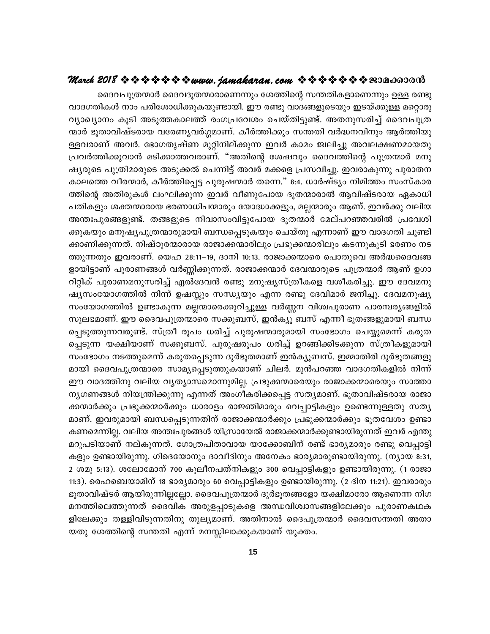ദൈവപുത്രന്മാർ ദൈവദൂതന്മാരാണെന്നും ശേത്തിന്റെ സന്തതികളാണെന്നും ഉള്ള രണ്ടു വാദഗതികൾ നാം പരിശോധിക്കുകയുണ്ടായി. ഈ രണ്ടു വാദങ്ങളുടെയും ഇടയ്ക്കുള്ള മറ്റൊരു വ്യാഖ്യാനം കൂടി അടുത്തകാലത്ത് രംഗപ്രവേശം ചെയ്തിട്ടുണ്ട്. അതനുസരിച്ച് ദൈവപുത്ര ന്മാർ ഭൂതാവിഷ്ടരായ വരേണ്യവർഗ്ഗമാണ്. കീർത്തിക്കും സന്തതി വർദ്ധനവിനും ആർത്തിയു ള്ളവരാണ് അവർ. ഭോഗതൃഷ്ണ മുറ്റിനില്ക്കുന്ന ഇവർ കാമം ജ്വലിച്ചു അവലക്ഷണമായതു പ്രവർത്തിക്കുവാൻ മടിക്കാത്തവരാണ്. "അതിന്റെ ശേഷവും ദൈവത്തിന്റെ പുത്രന്മാർ മനു ഷ്യരുടെ പുത്രിമാരുടെ അടുക്കൽ ചെന്നിട്ട് അവർ മക്കളെ പ്രസവിച്ചു. ഇവരാകുന്നു പുരാതന കാലത്തെ വീരന്മാർ, കീർത്തിപ്പെട്ട പുരുഷന്മാർ തന്നെ." 8:4. ധാർഷ്ട്യം നിമിത്തം സംസ്കാര ത്തിന്റെ അതിരുകൾ ലംഘിക്കുന്ന ഇവർ വീണുപോയ ദൂതന്മാരാൽ ആവിഷ്ടരായ ഏകാധി പതികളും ശക്തന്മാരായ ഭരണാധിപന്മാരും യോദ്ധാക്കളും, മല്ലന്മാരും ആണ്. ഇവർക്കു വലിയ അന്തഃപുരങ്ങളുണ്ട്. തങ്ങളുടെ നിവാസംവിട്ടുപോയ ദൂതന്മാർ മേല്പറഞ്ഞവരിൽ പ്രവേശി ക്കുകയും മനുഷ്യപുത്രന്മാരുമായി ബന്ധപ്പെടുകയും ചെയ്തു എന്നാണ് ഈ വാദഗതി ചൂണ്ടി ക്കാണിക്കുന്നത്. നിഷ്ഠൂരന്മാരായ രാജാക്കന്മാരിലും പ്രഭുക്കന്മാരിലും കടന്നുകൂടി ഭരണം നട ത്തുന്നതും ഇവരാണ്. യെഹ 28:11–19, ദാനി 10:13. രാജാക്കന്മാരെ പൊതുവെ അർദ്ധദൈവങ്ങ ളായിട്ടാണ് പുരാണങ്ങൾ വർണ്ണിക്കുന്നത്. രാജാക്കന്മാർ ദേവന്മാരുടെ പുത്രന്മാർ ആണ് ഉഗാ റിറ്റിക് പുരാണമനുസരിച്ച് ഏൽദേവൻ രണ്ടു മനുഷ്യസ്ത്രീകളെ വശീകരിച്ചു. ഈ ദേവമനു ഷ്യസംയോഗത്തിൽ നിന്ന് ഉഷസ്കും സന്ധ്യയും എന്ന രണ്ടു ദേവിമാർ ജനിച്ചു. ദേവമനുഷ്യ സംയോഗത്തിൽ ഉണ്ടാകുന്ന മല്ലന്മാരെക്കുറിച്ചുള്ള വർണ്ണന വിശ്വപുരാണ പാരമ്പര്യങ്ങളിൽ സുലഭമാണ്. ഈ ദൈവപുത്രന്മാരെ സക്കൂബസ്, ഇൻക്യൂ ബസ് എന്നീ ഭൂതങ്ങളുമായി ബന്ധ പ്പെടുത്തുന്നവരുണ്ട്. സ്ത്രീ രൂപം ധരിച്ച് പുരുഷന്മാരുമായി സംഭോഗം ചെയ്യുമെന്ന് കരുത പ്പെടുന്ന യക്ഷിയാണ് സക്കൂബസ്. പുരുഷരൂപം ധരിച്ച് ഉറങ്ങിക്കിടക്കുന്ന സ്ത്രീകളുമായി സംഭോഗം നടത്തുമെന്ന് കരുതപ്പെടുന്ന ദുർഭൂതമാണ് ഇൻക്യൂബസ്. ഇമ്മാതിരി ദുർഭൂതങ്ങളു മായി ദൈവപുത്രന്മാരെ സാമൃപ്പെടുത്തുകയാണ് ചിലർ. മുൻപറഞ്ഞ വാദഗതികളിൽ നിന്ന് ഈ വാദത്തിനു വലിയ വ്യത്യാസമൊന്നുമില്ല. പ്രഭുക്കന്മാരെയും രാജാക്കന്മാരെയും സാത്താ നൃഗണങ്ങൾ നിയന്ത്രിക്കുന്നു എന്നത് അംഗീകരിക്കപ്പെട്ട സത്യമാണ്. ഭൂതാവിഷ്ടരായ രാജാ ക്കന്മാർക്കും പ്രഭുക്കന്മാർക്കും ധാരാളം രാജ്ഞിമാരും വെപ്പാട്ടികളും ഉണ്ടെന്നുള്ളതു സത്യ മാണ്. ഇവരുമായി ബന്ധപ്പെടുന്നതിന് രാജാക്കന്മാർക്കും പ്രഭുക്കന്മാർക്കും ഭൂതവേശം ഉണ്ടാ കണമെന്നില്ല. വലിയ അന്തഃപുരങ്ങൾ യിസ്രായേൽ രാജാക്കന്മാർക്കുണ്ടായിരുന്നത് ഇവർ എന്തു മറുപടിയാണ് നല്കുന്നത്. ഗോത്രപിതാവായ യാക്കോബിന് രണ്ട് ഭാര്യമാരും രണ്ടു വെപ്പാട്ടി കളും ഉണ്ടായിരുന്നു. ഗിദെയോനും ദാവീദിനും അനേകം ഭാര്യമാരുണ്ടായിരുന്നു. (ന്യായ 8:31, 2 ശമു 5:13). ശലോമോന് 700 കുലീനപത്നികളും 300 വെപ്പാട്ടികളും ഉണ്ടായിരുന്നു. (1 രാജാ 11:3). രെഹബെയാമിന് 18 ഭാര്യമാരും 60 വെപ്പാട്ടികളും ഉണ്ടായിരുന്നു. (2 ദിന 11:21). ഇവരാരും ഭൂതാവിഷ്ടർ ആയിരുന്നില്ലല്ലോ. ദൈവപുത്രന്മാർ ദുർഭൂതങ്ങളോ യക്ഷിമാരോ ആണെന്ന നിഗ മനത്തിലെത്തുന്നത് ദൈവിക അരുളപ്പാടുകളെ അന്ധവിശ്വാസങ്ങളിലേക്കും പുരാണകഥക ളിലേക്കും തള്ളിവിടുന്നതിനു തുല്യമാണ്. അതിനാൽ ദൈപുത്രന്മാർ ദൈവസന്തതി അതാ യതു ശേത്തിന്റെ സന്തതി എന്ന് മനസ്സിലാക്കുകയാണ് യുക്തം.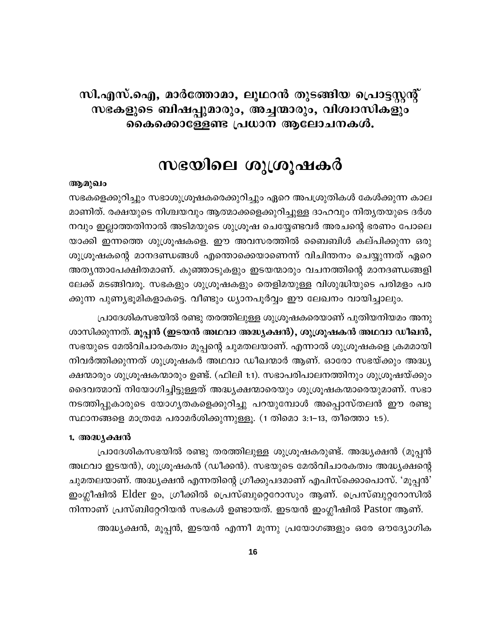## സി.എസ്.ഐ, മാർത്തോമാ, ലൂഥറൻ തുടങ്ങിയ പ്രൊട്ടസ്റ്റന്റ് സഭകളുടെ ബിഷപ്പുമാരും, അച്ചന്മാരും, വിശ്വാസികളും കൈക്കൊള്ളേണ്ട പ്രധാന ആലോചനകൾ.

## സഭയിലെ ശുശ്രൂഷകർ

#### ആമുഖം

സഭകളെക്കുറിച്ചും സഭാശുശ്രൂഷകരെക്കുറിച്ചും ഏറെ അപശ്രുതികൾ കേൾക്കുന്ന കാല മാണിത്. രക്ഷയുടെ നിശ്ചയവും ആത്മാക്കളെക്കുറിച്ചുള്ള ദാഹവും നിതൃതയുടെ ദർശ നവും ഇല്ലാത്തതിനാൽ അടിമയുടെ ശുശ്രൂഷ ചെയ്യേണ്ടവർ അരചന്റെ ഭരണം പോലെ യാക്കി ഇന്നത്തെ ശുശ്രൂഷകളെ. ഈ അവസരത്തിൽ ബൈബിൾ കല്പിക്കുന്ന ഒരു ശുശ്രൂഷകന്റെ മാനദണ്ഡങ്ങൾ എന്തൊക്കെയാണെന്ന് വിചിന്തനം ചെയ്യുന്നത് ഏറെ അതൃന്താപേക്ഷിതമാണ്. കുഞ്ഞാടുകളും ഇടയന്മാരും വചനത്തിന്റെ മാനദണ്ഡങ്ങളി ലേക്ക് മടങ്ങിവരൂ. സഭകളും ശുശ്രൂഷകളും തെളിമയുള്ള വിശുദ്ധിയുടെ പരിമളം പര ക്കുന്ന പുണ്യഭൂമികളാകട്ടെ. വീണ്ടും ധ്യാനപൂർവ്വം ഈ ലേഖനം വായിച്ചാലും.

പ്രാദേശികസഭയിൽ രണ്ടു തരത്തിലുള്ള ശുശ്രൂഷകരെയാണ് പുതിയനിയമം അനു ശാസിക്കുന്നത്. മൂപ്പൻ (ഇടയൻ അഥവാ അദ്ധ്യക്ഷൻ), ശുശ്രൂഷകൻ അഥവാ ഡീഖൻ, സഭയുടെ മേൽവിചാരകത്വം മൂപ്പന്റെ ചുമതലയാണ്. എന്നാൽ ശുശ്രൂഷകളെ ക്രമമായി നിവർത്തിക്കുന്നത് ശുശ്രൂഷകർ അഥവാ ഡീഖന്മാർ ആണ്. ഓരോ സഭയ്ക്കും അദ്ധ്യ ക്ഷന്മാരും ശുശ്രൂഷകന്മാരും ഉണ്ട്. (ഫിലി 1:1). സഭാപരിപാലനത്തിനും ശുശ്രൂഷയ്ക്കും ദൈവത്മാവ് നിയോഗിച്ചിട്ടുള്ളത് അദ്ധ്യക്ഷന്മാരെയും ശുശ്രൂഷകന്മാരെയുമാണ്. സഭാ നടത്തിപ്പുകാരുടെ യോഗൃതകളെക്കുറിച്ചു പറയുമ്പോൾ അപ്പൊസ്തലൻ ഈ രണ്ടു സ്ഥാനങ്ങളെ മാത്രമേ പരാമർശിക്കുന്നുള്ളൂ. (1 തിമൊ 3:1–13, തീത്തൊ 1:5).

#### 1. അദ്ധ്യക്ഷൻ

പ്രാദേശികസഭയിൽ രണ്ടു തരത്തിലുള്ള ശുശ്രൂഷകരുണ്ട്. അദ്ധ്യക്ഷൻ (മൂപ്പൻ അഥവാ ഇടയൻ), ശുശ്രൂഷകൻ (ഡീക്കൻ). സഭയുടെ മേൽവിചാരകത്വം അദ്ധ്യക്ഷന്റെ ചുമതലയാണ്. അദ്ധ്യക്ഷൻ എന്നതിന്റെ ഗ്രീക്കുപദമാണ് എപിസ്ക്കൊപൊസ്. 'മൂപ്പൻ' ഇംഗ്ലീഷിൽ Elder ഉം, ഗ്രീക്കിൽ പ്രെസ്ബുറ്റെറോസും ആണ്. പ്രെസ്ബുറ്ററോസിൽ നിന്നാണ് പ്രസ്ബിറ്റേറിയൻ സഭകൾ ഉണ്ടായത്. ഇടയൻ ഇംഗ്ലീഷിൽ Pastor ആണ്.

അദ്ധ്യക്ഷൻ, മൂപ്പൻ, ഇടയൻ എന്നീ മൂന്നു പ്രയോഗങ്ങളും ഒരേ ഔദ്യോഗിക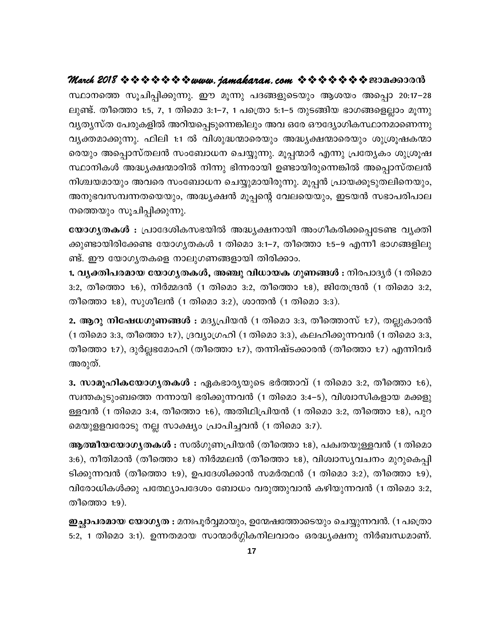സ്ഥാനത്തെ സൂചിപ്പിക്കുന്നു. ഈ മൂന്നു പദങ്ങളുടെയും ആശയം അപ്പൊ 20:17–28 ലുണ്ട്. തീത്തൊ 1:5, 7, 1 തിമൊ 3:1–7, 1 പത്രൊ 5:1–5 തുടങ്ങിയ ഭാഗങ്ങളെല്ലാം മൂന്നു വൃത്യസ്ത പേരുകളിൽ അറിയപ്പെടുന്നെങ്കിലും അവ ഒരേ ഔദ്യോഗികസ്ഥാനമാണെന്നു വ്യക്തമാക്കുന്നു. ഫിലി 1:1 ൽ വിശുദ്ധന്മാരെയും അദ്ധ്യക്ഷന്മാരെയും ശുശ്രൂഷകന്മാ രെയും അപ്പൊസ്തലൻ സംബോധന ചെയ്യുന്നു. മൂപ്പന്മാർ എന്നു പ്രത്യേകം ശുശ്രൂഷ സ്ഥാനികൾ അദ്ധ്യക്ഷന്മാരിൽ നിന്നു ഭിന്നരായി ഉണ്ടായിരുന്നെങ്കിൽ അപ്പൊസ്തലൻ നിശ്ചയമായും അവരെ സംബോധന ചെയ്യുമായിരുന്നു. മൂപ്പൻ പ്രായക്കൂടുതലിനെയും, അനുഭവസമ്പന്നതയെയും, അദ്ധ്യക്ഷൻ മൂപ്പന്റെ വേലയെയും, ഇടയൻ സഭാപരിപാല നത്തെയും സൂചിപ്പിക്കുന്നു.

യോഗ്യതകൾ : പ്രാദേശികസഭയിൽ അദ്ധ്യക്ഷനായി അംഗീകരിക്കപ്പെടേണ്ട വ്യക്തി ക്കുണ്ടായിരിക്കേണ്ട യോഗൃതകൾ 1 തിമൊ 3:1–7, തീത്തൊ 1:5–9 എന്നീ ഭാഗങ്ങളിലു ണ്ട്. ഈ യോഗൃതകളെ നാലുഗണങ്ങളായി തിരിക്കാം.

1. വ്യക്തിപരമായ യോഗ്യതകൾ, അഞ്ചു വിധായക ഗുണങ്ങൾ : നിരപാദ്യർ (1 തിമൊ 3:2, തീത്തൊ 1:6), നിർമ്മദൻ (1 തിമൊ 3:2, തീത്തൊ 1:8), ജിതേന്ദ്രൻ (1 തിമൊ 3:2, തീത്തൊ 1:8), സുശീലൻ (1 തിമൊ 3:2), ശാന്തൻ (1 തിമൊ 3:3).

2. ആറു നിഷേധഗുണങ്ങൾ : മദ്യപ്രിയൻ (1 തിമൊ 3:3, തീത്തൊസ് 1:7), തല്ലുകാരൻ (1 തിമൊ 3:3, തീത്തൊ 1:7), ദ്രവ്യാഗ്രഹി (1 തിമൊ 3:3), കലഹിക്കുന്നവൻ (1 തിമൊ 3:3, തീത്തൊ 1:7), ദുർല്ലഭമോഹി (തീത്തൊ 1:7), തന്നിഷ്ടക്കാരൻ (തീത്തൊ 1:7) എന്നിവർ അരുത്.

3. സാമൂഹികയോഗൃതകൾ : ഏകഭാരൃയുടെ ഭർത്താവ് (1 തിമൊ 3:2, തീത്തൊ 1:6), സ്വന്തകുടുംബത്തെ നന്നായി ഭരിക്കുന്നവൻ (1 തിമൊ 3:4–5), വിശ്വാസികളായ മക്കളു ള്ളവൻ (1 തിമൊ 3:4, തീത്തൊ 1:6), അതിഥിപ്രിയൻ (1 തിമൊ 3:2, തീത്തൊ 1:8), പുറ മെയുളളവരോടു നല്ല സാക്ഷ്യം പ്രാപിച്ചവൻ (1 തിമൊ 3:7).

ആ**ത്മീയയോഗ്യതകൾ :** സൽഗുണപ്രിയൻ (തീത്തൊ 1:8), പക്വതയുള്ളവൻ (1 തിമൊ 3:6), നീതിമാൻ (തീത്തൊ 1:8) നിർമ്മലൻ (തീത്തൊ 1:8), വിശ്വാസൃവചനം മുറുകെപ്പി ടിക്കുന്നവൻ (തീത്തൊ 1:9), ഉപദേശിക്കാൻ സമർത്ഥൻ (1 തിമൊ 3:2), തീത്തൊ 1:9), വിരോധികൾക്കു പത്ഥ്യോപദേശം ബോധം വരുത്തുവാൻ കഴിയുന്നവൻ (1 തിമൊ 3:2, തീത്തൊ 1:9).

ഇച്ഛാപരമായ യോഗൃത : മനഃപൂർവ്വമായും, ഉന്മേഷത്തോടെയും ചെയ്യുന്നവൻ. (1 പത്രൊ 5:2, 1 തിമൊ 3:1). ഉന്നതമായ സാന്മാർഗ്ഗികനിലവാരം ഒരദ്ധ്യക്ഷനു നിർബന്ധമാണ്.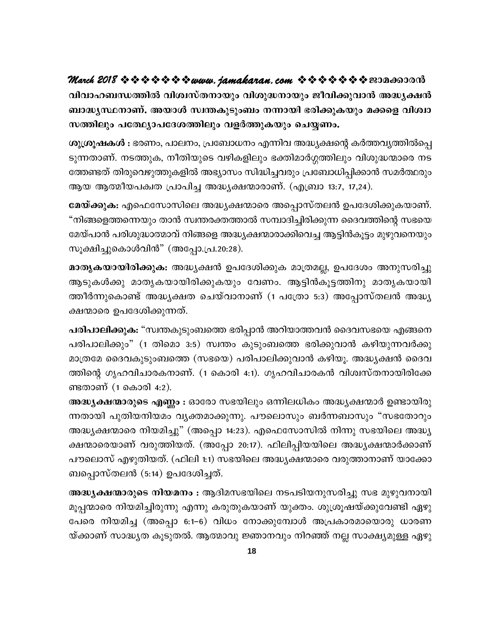വിവാഹബന്ധത്തിൽ വിശ്വസ്തനായും വിശുദ്ധനായും ജീവിക്കുവാൻ അദ്ധ്യക്ഷൻ ബാദ്ധ്യസ്ഥനാണ്. അയാൾ സ്വന്തകുടുംബം നന്നായി ഭരിക്കുകയും മക്കളെ വിശ്വാ സത്തിലും പതേഥ്യാപദേശത്തിലും വളർത്തുകയും ചെയ്യണം.

ശുശ്രൂഷകൾ : ഭരണം, പാലനം, പ്രബോധനം എന്നിവ അദ്ധ്യക്ഷന്റെ കർത്തവ്യത്തിൽപ്പെ ടുന്നതാണ്. നടത്തുക, നീതിയുടെ വഴികളിലും ഭക്തിമാർഗ്ഗത്തിലും വിശുദ്ധന്മാരെ നട ത്തേണ്ടത് തിരുവെഴുത്തുകളിൽ അഭ്യാസം സിദ്ധിച്ചവരും പ്രബോധിപ്പിക്കാൻ സമർത്ഥരും ആയ ആത്മീയപക്വത പ്രാപിച്ച അദ്ധ്യക്ഷന്മാരാണ്. (എബ്രാ 13:7, 17,24).

മേയ്ക്കുക: എഫെസോസിലെ അദ്ധ്യക്ഷന്മാരെ അപ്പൊസ്തലൻ ഉപദേശിക്കുകയാണ്. "നിങ്ങളെത്തന്നെയും താൻ സ്വന്തരക്തത്താൽ സമ്പാദിച്ചിരിക്കുന്ന ദൈവത്തിന്റെ സഭയെ മേയ്പാൻ പരിശുദ്ധാത്മാവ് നിങ്ങളെ അദ്ധ്യക്ഷന്മാരാക്കിവെച്ച ആട്ടിൻകൂട്ടം മുഴുവനെയും സൂക്ഷിച്ചുകൊൾവിൻ" (അപ്പോ.പ്ര.20:28).

മാതൃകയായിരിക്കുക: അദ്ധ്യക്ഷൻ ഉപദേശിക്കുക മാത്രമല്ല, ഉപദേശം അനുസരിച്ചു ആടുകൾക്കു മാതൃകയായിരിക്കുകയും വേണം. ആട്ടിൻകൂട്ടത്തിനു മാതൃകയായി ത്തീർന്നുകൊണ്ട് അദ്ധ്യക്ഷത ചെയ്വാനാണ് (1 പത്രോ 5:3) അപ്പോസ്തലൻ അദ്ധ്യ ക്ഷന്മാരെ ഉപദേശിക്കുന്നത്.

പരിപാലിക്കുക: "സ്വന്തകുടുംബത്തെ ഭരിപ്പാൻ അറിയാത്തവൻ ദൈവസഭയെ എങ്ങനെ പരിപാലിക്കും" (1 തിമൊ 3:5) സ്വന്തം കുടുംബത്തെ ഭരിക്കുവാൻ കഴിയുന്നവർക്കു മാത്രമേ ദൈവകുടുംബത്തെ (സഭയെ) പരിപാലിക്കുവാൻ കഴിയൂ. അദ്ധ്യക്ഷൻ ദൈവ ത്തിന്റെ ഗൃഹവിചാരകനാണ്. (1 കൊരി 4:1). ഗൃഹവിചാരകൻ വിശ്വസ്തനായിരിക്കേ ണ്ടതാണ് (1 കൊരി 4:2).

അദ്ധ്യക്ഷന്മാരുടെ എണ്ണം : ഓരോ സഭയിലും ഒന്നിലധികം അദ്ധ്യക്ഷന്മാർ ഉണ്ടായിരു ന്നതായി പുതിയനിയമം വ്യക്തമാക്കുന്നു. പൗലൊസും ബർന്നബാസും "സഭതോറും അദ്ധ്യക്ഷന്മാരെ നിയമിച്ചു" (അപ്പൊ 14:23). എഫെസോസിൽ നിന്നു സഭയിലെ അദ്ധ്യ ക്ഷന്മാരെയാണ് വരുത്തിയത്. (അപ്പോ 20:17). ഫിലിപ്പിയയിലെ അദ്ധ്യക്ഷന്മാർക്കാണ് പൗലൊസ് എഴുതിയത്. (ഫിലി 1:1) സഭയിലെ അദ്ധ്യക്ഷന്മാരെ വരുത്താനാണ് യാക്കോ ബപ്പൊസ്തലൻ (5:14) ഉപദേശിച്ചത്.

അദ്ധ്യക്ഷന്മാരുടെ നിയമനം : ആദിമസഭയിലെ നടപടിയനുസരിച്ചു സഭ മുഴുവനായി മൂപ്പന്മാരെ നിയമിച്ചിരുന്നു എന്നു കരുതുകയാണ് യുക്തം. ശുശ്രൂഷയ്ക്കുവേണ്ടി ഏഴു പേരെ നിയമിച്ച (അപ്പൊ 6:1–6) വിധം നോക്കുമ്പോൾ അപ്രകാരമായൊരു ധാരണ യ്ക്കാണ് സാദ്ധ്യത കൂടുതൽ. ആത്മാവു ജ്ഞാനവും നിറഞ്ഞ് നല്ല സാക്ഷ്യമുള്ള ഏഴു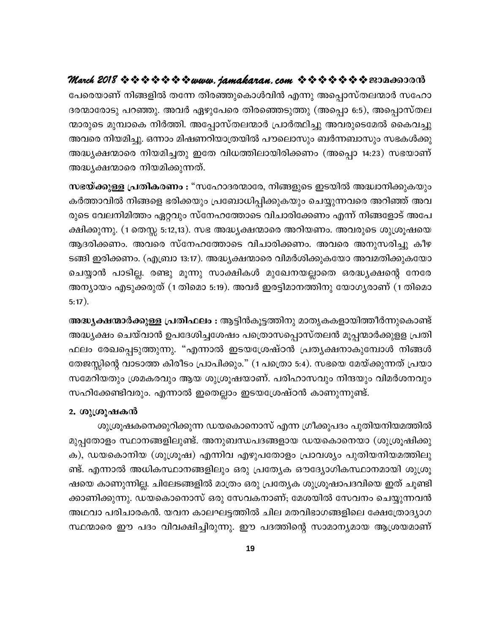പേരെയാണ് നിങ്ങളിൽ തന്നേ തിരഞ്ഞുകൊൾവിൻ എന്നു അപ്പൊസ്തലന്മാർ സഹോ ദരന്മാരോടു പറഞ്ഞു. അവർ ഏഴുപേരെ തിരഞ്ഞെടുത്തു (അപ്പൊ 6:5), അപ്പൊസ്തല ന്മാരുടെ മുമ്പാകെ നിർത്തി. അപ്പോസ്തലന്മാർ പ്രാർത്ഥിച്ചു അവരുടെമേൽ കൈവച്ചു അവരെ നിയമിച്ചു. ഒന്നാം മിഷണറിയാത്രയിൽ പൗലൊസും ബർന്നബാസും സഭകൾക്കു അദ്ധ്യക്ഷന്മാരെ നിയമിച്ചതു ഇതേ വിധത്തിലായിരിക്കണം (അപ്പൊ 14:23) സഭയാണ് അദ്ധ്യക്ഷന്മാരെ നിയമിക്കുന്നത്.

സഭയ്ക്കുള്ള പ്രതികരണം : "സഹോദരന്മാരേ, നിങ്ങളുടെ ഇടയിൽ അദ്ധ്വാനിക്കുകയും കർത്താവിൽ നിങ്ങളെ ഭരിക്കയും പ്രബോധിപ്പിക്കുകയും ചെയ്യുന്നവരെ അറിഞ്ഞ് അവ രുടെ വേലനിമിത്തം ഏറ്റവും സ്നേഹത്തോടെ വിചാരിക്കേണം എന്ന് നിങ്ങളോട് അപേ ക്ഷിക്കുന്നു. (1 തെസ്സ 5:12,13). സഭ അദ്ധ്യക്ഷന്മാരെ അറിയണം. അവരുടെ ശുശ്രൂഷയെ ആദരിക്കണം. അവരെ സ്നേഹത്തോടെ വിചാരിക്കണം. അവരെ അനുസരിച്ചു കീഴ ടങ്ങി ഇരിക്കണം. (എബ്രാ 13:17). അദ്ധ്യക്ഷന്മാരെ വിമർശിക്കുകയോ അവമതിക്കുകയോ ചെയ്യാൻ പാടില്ല. രണ്ടു മൂന്നു സാക്ഷികൾ മുഖേനയല്ലാതെ ഒരദ്ധ്യക്ഷന്റെ നേരേ അന്യായം എടുക്കരുത് (1 തിമൊ 5:19). അവർ ഇരട്ടിമാനത്തിനു യോഗ്യരാണ് (1 തിമൊ  $5:17$ ).

അദ്ധൃക്ഷന്മാർക്കുള്ള പ്രതിഫലം : ആട്ടിൻകൂട്ടത്തിനു മാതൃകകളായിത്തീർന്നുകൊണ്ട് അദ്ധ്യക്ഷം ചെയ്വാൻ ഉപദേശിച്ചശേഷം പത്രൊസപ്പൊസ്തലൻ മൂപ്പന്മാർക്കുളള പ്രതി ഫലം രേഖപ്പെടുത്തുന്നു. "എന്നാൽ ഇടയശ്രേഷ്ഠൻ പ്രത്യക്ഷനാകുമ്പോൾ നിങ്ങൾ തേജസ്സിന്റെ വാടാത്ത കിരീടം പ്രാപിക്കും." (1 പത്രൊ 5:4). സഭയെ മേയ്ക്കുന്നത് പ്രയാ സമേറിയതും ശ്രമകരവും ആയ ശുശ്രൂഷയാണ്. പരിഹാസവും നിന്ദയും വിമർശനവും സഹിക്കേണ്ടിവരും. എന്നാൽ ഇതെല്ലാം ഇടയശ്രേഷ്ഠൻ കാണുന്നുണ്ട്.

#### 2. ശുശ്രൂഷകൻ

ശുശ്രൂഷകനെക്കുറിക്കുന്ന ഡയകൊനൊസ് എന്ന ഗ്രീക്കുപദം പുതിയനിയമത്തിൽ മുപ്പതോളം സ്ഥാനങ്ങളിലുണ്ട്. അനുബന്ധപദങ്ങളായ ഡയകൊനെയാ (ശുശ്രൂഷിക്കു ക), ഡയകൊനിയ (ശുശ്രൂഷ) എന്നിവ എഴുപതോളം പ്രാവശ്യം പുതിയനിയമത്തിലു ണ്ട്. എന്നാൽ അധികസ്ഥാനങ്ങളിലും ഒരു പ്രത്യേക ഔദ്യോഗികസ്ഥാനമായി ശുശ്രൂ ഷയെ കാണുന്നില്ല. ചിലേടങ്ങളിൽ മാത്രം ഒരു പ്രത്യേക ശുശ്രൂഷാപദവിയെ ഇത് ചൂണ്ടി ക്കാണിക്കുന്നു. ഡയകൊനൊസ് ഒരു സേവകനാണ്; മേശയിൽ സേവനം ചെയ്യുന്നവൻ അഥവാ പരിചാരകൻ. യവന കാലഘട്ടത്തിൽ ചില മതവിഭാഗങ്ങളിലെ ക്ഷേത്രോദ്യാഗ സ്ഥന്മാരെ ഈ പദം വിവക്ഷിച്ചിരുന്നു. ഈ പദത്തിന്റെ സാമാന്യമായ ആശ്രയമാണ്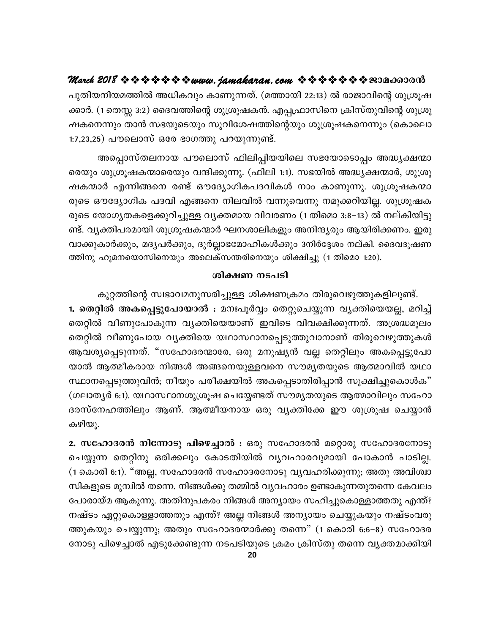പുതിയനിയമത്തിൽ അധികവും കാണുന്നത്. (മത്തായി 22:13) ൽ രാജാവിന്റെ ശുശ്രൂഷ ക്കാർ. (1 തെസ്സ 3:2) ദൈവത്തിന്റെ ശുശ്രൂഷകൻ. എപ്പഫ്രാസിനെ ക്രിസ്തുവിന്റെ ശുശ്രൂ ഷകനെന്നും താൻ സഭയുടെയും സുവിശേഷത്തിന്റെയും ശുശ്രൂഷകനെന്നും (കൊലൊ 1:7,23,25) പൗലൊസ് ഒരേ ഭാഗത്തു പറയുന്നുണ്ട്.

അപ്പൊസ്തലനായ പൗലൊസ് ഫിലിപ്പിയയിലെ സഭയോടൊപ്പം അദ്ധ്യക്ഷന്മാ രെയും ശുശ്രൂഷകന്മാരെയും വന്ദിക്കുന്നു. (ഫിലി 1:1). സഭയിൽ അദ്ധ്യക്ഷന്മാർ, ശുശ്രൂ ഷകന്മാർ എന്നിങ്ങനെ രണ്ട് ഔദ്യോഗികപദവികൾ നാം കാണുന്നു. ശുശ്രൂഷകന്മാ രുടെ ഔദ്യോഗിക പദവി എങ്ങനെ നിലവിൽ വന്നുവെന്നു നമുക്കറിയില്ല. ശുശ്രൂഷക രുടെ യോഗൃതകളെക്കുറിച്ചുള്ള വൃക്തമായ വിവരണം (1 തിമൊ 3:8–13) ൽ നല്കിയിട്ടു ണ്ട്. വ്യക്തിപരമായി ശുശ്രൂഷകന്മാർ ഘനശാലികളും അനിന്ദ്യരും ആയിരിക്കണം. ഇരു വാക്കുകാർക്കും, മദ്യപർക്കും, ദുർല്ലാഭമോഹികൾക്കും 3നിർദ്ദേശം നല്കി. ദൈവദൂഷണ ത്തിനു ഹൂമനയൊസിനെയും അലെക്സന്തരിനെയും ശിക്ഷിച്ചു (1 തിമൊ 1:20).

#### ശിക്ഷണ നടപടി

കുറ്റത്തിന്റെ സ്വഭാവമനുസരിച്ചുള്ള ശിക്ഷണക്രമം തിരുവെഴുത്തുകളിലുണ്ട്. 1. തെറ്റിൽ അകപ്പെട്ടുപോയാൽ : മനഃപൂർവ്വം തെറ്റുചെയ്യുന്ന വ്യക്തിയെയല്ല, മറിച്ച് തെറ്റിൽ വീണുപോകുന്ന വ്യക്തിയെയാണ് ഇവിടെ വിവക്ഷിക്കുന്നത്. അശ്രദ്ധമൂലം തെറ്റിൽ വീണുപോയ വ്യക്തിയെ യഥാസ്ഥാനപ്പെടുത്തുവാനാണ് തിരുവെഴുത്തുകൾ ആവശ്യപ്പെടുന്നത്. "സഹോദരന്മാരേ, ഒരു മനുഷ്യൻ വല്ല തെറ്റിലും അകപ്പെട്ടുപോ യാൽ ആത്മീകരായ നിങ്ങൾ അങ്ങനെയുള്ളവനെ സൗമൃതയുടെ ആത്മാവിൽ യഥാ സ്ഥാനപ്പെടുത്തുവിൻ; നീയും പരീക്ഷയിൽ അകപ്പെടാതിരിപ്പാൻ സൂക്ഷിച്ചുകൊൾക" (ഗലാതൃർ 6:1). യഥാസ്ഥാനശുശ്രൂഷ ചെയ്യേണ്ടത് സൗമൃതയുടെ ആത്മാവിലും സഹോ ദരസ്നേഹത്തിലും ആണ്. ആത്മീയനായ ഒരു വ്യക്തിക്കേ ഈ ശുശ്രൂഷ ചെയ്യാൻ കഴിയു.

2. സഹോദരൻ നിന്നോടു പിഴെച്ചാൽ : ഒരു സഹോദരൻ മറ്റൊരു സഹോദരനോടു ചെയ്യുന്ന തെറ്റിനു ഒരിക്കലും കോടതിയിൽ വ്യവഹാരവുമായി പോകാൻ പാടില്ല. (1 കൊരി 6:1). "അല്ല, സഹോദരൻ സഹോദരനോടു വ്യവഹരിക്കുന്നു; അതു അവിശ്വാ സികളുടെ മുമ്പിൽ തന്നെ. നിങ്ങൾക്കു തമ്മിൽ വൃവഹാരം ഉണ്ടാകുന്നതുതന്നെ കേവലം പോരായ്മ ആകുന്നു. അതിനുപകരം നിങ്ങൾ അന്യായം സഹിച്ചുകൊള്ളാത്തതു എന്ത്? നഷ്ടം ഏറ്റുകൊള്ളാത്തതും എന്ത്? അല്ല നിങ്ങൾ അന്യായം ചെയ്യുകയും നഷ്ടംവരു ത്തുകയും ചെയ്യുന്നു; അതും സഹോദരന്മാർക്കു തന്നെ" (1 കൊരി 6:6–8) സഹോദര നോടു പിഴെച്ചാൽ എടുക്കേണ്ടുന്ന നടപടിയുടെ ക്രമം ക്രിസ്തു തന്നെ വൃക്തമാക്കിയി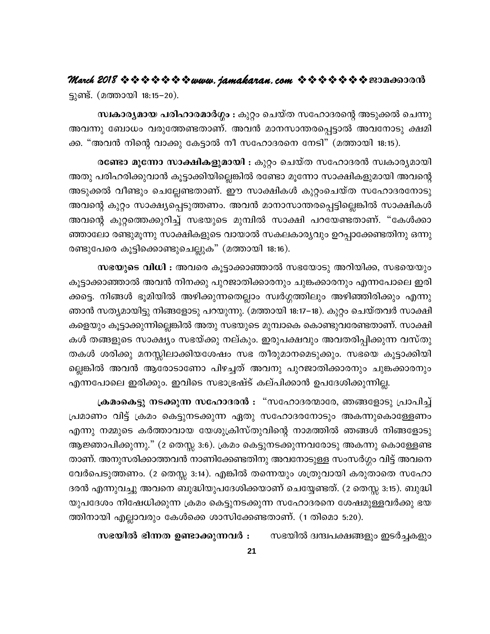ട്ടുണ്ട്. (മത്തായി 18:15–20).

സ്വകാര്യമായ പരിഹാരമാർഗ്ഗം : കുറ്റം ചെയ്ത സഹോദരന്റെ അടുക്കൽ ചെന്നു അവന്നു ബോധം വരുത്തേണ്ടതാണ്. അവൻ മാനസാന്തരപ്പെട്ടാൽ അവനോടു ക്ഷമി ക്ക. "അവൻ നിന്റെ വാക്കു കേട്ടാൽ നീ സഹോദരനെ നേടി" (മത്തായി 18:15).

രണ്ടോ മൂന്നോ സാക്ഷികളുമായി : കുറ്റം ചെയ്ത സഹോദരൻ സ്വകാര്യമായി അതു പരിഹരിക്കുവാൻ കൂട്ടാക്കിയില്ലെങ്കിൽ രണ്ടോ മൂന്നോ സാക്ഷികളുമായി അവന്റെ അടുക്കൽ വീണ്ടും ചെല്ലേണ്ടതാണ്. ഈ സാക്ഷികൾ കുറ്റംചെയ്ത സഹോദരനോടു അവന്റെ കുറ്റം സാക്ഷ്യപ്പെടുത്തണം. അവൻ മാനാസാന്തരപ്പെട്ടില്ലെങ്കിൽ സാക്ഷികൾ അവന്റെ കുറ്റത്തെക്കുറിച്ച് സഭയുടെ മുമ്പിൽ സാക്ഷി പറയേണ്ടതാണ്. "കേൾക്കാ ഞ്ഞാലോ രണ്ടുമൂന്നു സാക്ഷികളുടെ വായാൽ സകലകാര്യവും ഉറപ്പാക്കേണ്ടതിനു ഒന്നു രണ്ടുപേരെ കൂട്ടിക്കൊണ്ടുചെല്ലുക" (മത്തായി 18:16).

സഭയുടെ വിധി : അവരെ കൂട്ടാക്കാഞ്ഞാൽ സഭയോടു അറിയിക്ക, സഭയെയും കൂട്ടാക്കാഞ്ഞാൽ അവൻ നിനക്കു പുറജാതിക്കാരനും ചുങ്കക്കാരനും എന്നപോലെ ഇരി ക്കട്ടെ. നിങ്ങൾ ഭൂമിയിൽ അഴിക്കുന്നതെല്ലാം സ്വർഗ്ഗത്തിലും അഴിഞ്ഞിരിക്കും എന്നു ഞാൻ സത്യമായിട്ടു നിങ്ങളോടു പറയുന്നു. (മത്തായി 18:17–18). കുറ്റം ചെയ്തവർ സാക്ഷി കളെയും കൂട്ടാക്കുന്നില്ലെങ്കിൽ അതു സഭയുടെ മുമ്പാകെ കൊണ്ടുവരേണ്ടതാണ്. സാക്ഷി കൾ തങ്ങളുടെ സാക്ഷ്യം സഭയ്ക്കു നല്കും. ഇരുപക്ഷവും അവതരിപ്പിക്കുന്ന വസ്തു തകൾ ശരിക്കു മനസ്സിലാക്കിയശേഷം സഭ തീരുമാനമെടുക്കും. സഭയെ കൂട്ടാക്കിയി ല്ലെങ്കിൽ അവൻ ആരോടാണോ പിഴച്ചത് അവനു പുറജാതിക്കാരനും ചുങ്കക്കാരനും എന്നപോലെ ഇരിക്കും. ഇവിടെ സഭാഭ്രഷ്ട് കല്പിക്കാൻ ഉപദേശിക്കുന്നില്ല.

ക്രമംകെട്ടു നടക്കുന്ന സഹോദരൻ : "സഹോദരന്മാരേ, ഞങ്ങളോടു പ്രാപിച്ച് പ്രമാണം വിട്ട് ക്രമം കെട്ടുനടക്കുന്ന ഏതു സഹോദരനോടും അകന്നുകൊള്ളേണം എന്നു നമ്മുടെ കർത്താവായ യേശുക്രിസ്തുവിന്റെ നാമത്തിൽ ഞങ്ങൾ നിങ്ങളോടു ആജ്ഞാപിക്കുന്നു." (2 തെസ്സ 3:6). ക്രമം കെട്ടുനടക്കുന്നവരോടു അകന്നു കൊള്ളേണ്ട താണ്. അനുസരിക്കാത്തവൻ നാണിക്കേണ്ടതിനു അവനോടുള്ള സംസർഗ്ഗം വിട്ട് അവനെ വേർപെടുത്തണം. (2 തെസ്സ 3:14). എങ്കിൽ തന്നെയും ശത്രുവായി കരുതാതെ സഹോ ദരൻ എന്നുവച്ചു അവനെ ബുദ്ധിയുപദേശിക്കയാണ് ചെയ്യേണ്ടത്. (2 തെസ്സ 3:15). ബുദ്ധി യുപദേശം നിഷേധിക്കുന്ന ക്രമം കെട്ടുനടക്കുന്ന സഹോദരനെ ശേഷമുള്ളവർക്കു ഭയ ത്തിനായി എല്ലാവരും കേൾക്കെ ശാസിക്കേണ്ടതാണ്. (1 തിമൊ 5:20).

സഭയിൽ ഭിന്നത ഉണ്ടാക്കുന്നവർ : സഭയിൽ ദ്വന്ദ്വപക്ഷങ്ങളും ഇടർച്ചകളും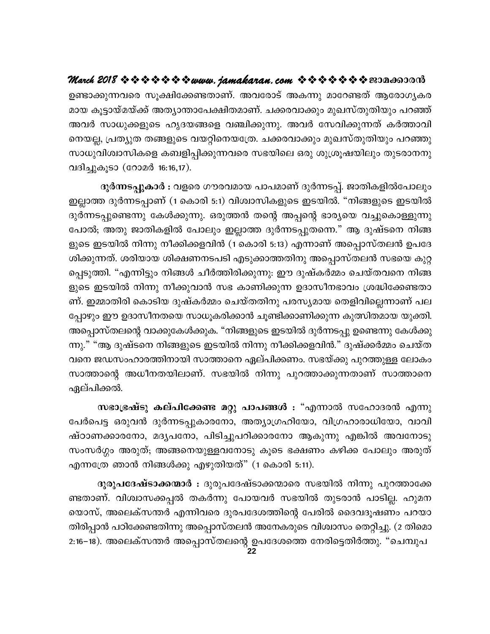ഉണ്ടാക്കുന്നവരെ സൂക്ഷിക്കേണ്ടതാണ്. അവരോട് അകന്നു മാറേണ്ടത് ആരോഗൃകര മായ കൂട്ടായ്മയ്ക്ക് അത്യാന്താപേക്ഷിതമാണ്. ചക്കരവാക്കും മുഖസ്തുതിയും പറഞ്ഞ് അവർ സാധുക്കളുടെ ഹൃദയങ്ങളെ വഞ്ചിക്കുന്നു. അവർ സേവിക്കുന്നത് കർത്താവി നെയല്ല, പ്രത്യുത തങ്ങളുടെ വയറ്റിനെയത്രേ. ചക്കരവാക്കും മുഖസ്തുതിയും പറഞ്ഞു സാധുവിശ്വാസികളെ കബളിപ്പിക്കുന്നവരെ സഭയിലെ ഒരു ശുശ്രൂഷയിലും തുടരാനനു വദിച്ചുകൂടാ (റോമർ 16:16,17).

ദുർന്നടപ്പുകാർ : വളരെ ഗൗരവമായ പാപമാണ് ദുർന്നടപ്പ്. ജാതികളിൽപോലും ഇല്ലാത്ത ദുർന്നടപ്പാണ് (1 കൊരി 5:1) വിശ്വാസികളുടെ ഇടയിൽ. "നിങ്ങളുടെ ഇടയിൽ ദുർന്നടപ്പുണ്ടെന്നു കേൾക്കുന്നു. ഒരുത്തൻ തന്റെ അപ്പന്റെ ഭാര്യയെ വച്ചുകൊള്ളുന്നു പോൽ; അതു ജാതികളിൽ പോലും ഇല്ലാത്ത ദുർന്നടപ്പുതന്നെ." ആ ദുഷ്ടനെ നിങ്ങ ളുടെ ഇടയിൽ നിന്നു നീക്കിക്കളവിൻ (1 കൊരി 5:13) എന്നാണ് അപ്പൊസ്തലൻ ഉപദേ ശിക്കുന്നത്. ശരിയായ ശിക്ഷണനടപടി എടുക്കാത്തതിനു അപ്പൊസ്തലൻ സഭയെ കുറ്റ പ്പെടുത്തി. "എന്നിട്ടും നിങ്ങൾ ചീർത്തിരിക്കുന്നു: ഈ ദുഷ്കർമ്മം ചെയ്തവനെ നിങ്ങ ളുടെ ഇടയിൽ നിന്നു നീക്കുവാൻ സഭ കാണിക്കുന്ന ഉദാസീനഭാവം ശ്രദ്ധിക്കേണ്ടതാ ണ്. ഇമ്മാതിരി കൊടിയ ദുഷ്കർമ്മം ചെയ്തതിനു പരസ്യമായ തെളിവില്ലെന്നാണ് പല പ്പോഴും ഈ ഉദാസീനതയെ സാധൂകരിക്കാൻ ചൂണ്ടിക്കാണിക്കുന്ന കുത്സിതമായ യുക്തി. അപ്പൊസ്തലന്റെ വാക്കുകേൾക്കുക. "നിങ്ങളുടെ ഇടയിൽ ദുർന്നടപ്പു ഉണ്ടെന്നു കേൾക്കു ന്നു." "ആ ദുഷ്ടനെ നിങ്ങളുടെ ഇടയിൽ നിന്നു നീക്കിക്കളവിൻ." ദുഷ്ക്കർമ്മം ചെയ്ത വനെ ജഡസംഹാരത്തിനായി സാത്താനെ ഏല്പിക്കണം. സഭയ്ക്കു പുറത്തുള്ള ലോകം സാത്താന്റെ അധീനതയിലാണ്. സഭയിൽ നിന്നു പുറത്താക്കുന്നതാണ് സാത്താനെ ഏല്പിക്കൽ.

സഭാഭ്രഷ്ടു കല്പിക്കേണ്ട മറ്റു പാപങ്ങൾ : "എന്നാൽ സഹോദരൻ എന്നു പേർപെട്ട ഒരുവൻ ദുർന്നടപ്പുകാരനോ, അത്യാഗ്രഹിയോ, വിഗ്രഹാരാധിയോ, വാവി ഷ്ഠാണക്കാരനോ, മദൃപനോ, പിടിച്ചുപറിക്കാരനോ ആകുന്നു എങ്കിൽ അവനോടു സംസർഗ്ഗം അരുത്; അങ്ങനെയുള്ളവനോടു കൂടെ ഭക്ഷണം കഴിക്ക പോലും അരുത് എന്നത്രേ ഞാൻ നിങ്ങൾക്കു എഴുതിയത്" (1 കൊരി 5:11).

ദുരുപദേഷ്ടാക്കന്മാർ : ദുരുപദേഷ്ടാക്കന്മാരെ സഭയിൽ നിന്നു പുറത്താക്കേ ണ്ടതാണ്. വിശ്വാസക്കപ്പൽ തകർന്നു പോയവർ സഭയിൽ തുടരാൻ പാടില്ല. ഹുമന യൊസ്, അലെക്സന്തർ എന്നിവരെ ദുരപദേശത്തിന്റെ പേരിൽ ദൈവദൂഷണം പറയാ തിരിപ്പാൻ പഠിക്കേണ്ടതിന്നു അപ്പൊസ്തലൻ അനേകരുടെ വിശ്വാസം തെറ്റിച്ചു. (2 തിമൊ 2:16−18). അലെക്സന്തർ അപ്പൊസ്തലന്റെ ഉപദേശത്തെ നേരിട്ടെതിർത്തു. "ചെമ്പുപ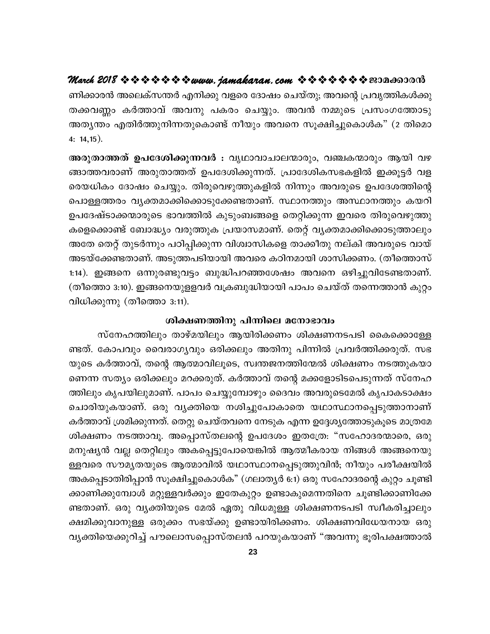ണിക്കാരൻ അലെക്സന്തർ എനിക്കു വളരെ ദോഷം ചെയ്തു; അവന്റെ പ്രവൃത്തികൾക്കു തക്കവണ്ണം കർത്താവ് അവനു പകരം ചെയ്യും. അവൻ നമ്മുടെ പ്രസംഗത്തോടു അത്യന്തം എതിർത്തുനിന്നതുകൊണ്ട് നീയും അവനെ സൂക്ഷിച്ചുകൊൾക" (2 തിമൊ 4:  $14, 15$ ).

ങ്ങാത്തവരാണ് അരുതാത്തത് ഉപദേശിക്കുന്നത്. പ്രാദേശികസഭകളിൽ ഇക്കൂട്ടർ വള രെയധികം ദോഷം ചെയ്യും. തിരുവെഴുത്തുകളിൽ നിന്നും അവരുടെ ഉപദേശത്തിന്റെ പൊള്ളത്തരം വൃക്തമാക്കിക്കൊടുക്കേണ്ടതാണ്. സ്ഥാനത്തും അസ്ഥാനത്തും കയറി ഉപദേഷ്ടാക്കന്മാരുടെ ഭാവത്തിൽ കുടുംബങ്ങളെ തെറ്റിക്കുന്ന ഇവരെ തിരുവെഴുത്തു കളെക്കൊണ്ട് ബോദ്ധ്യം വരുത്തുക പ്രയാസമാണ്. തെറ്റ് വ്യക്തമാക്കിക്കൊടുത്താലും അതേ തെറ്റ് തുടർന്നും പഠിപ്പിക്കുന്ന വിശ്വാസികളെ താക്കീതു നല്കി അവരുടെ വായ് അടയ്ക്കേണ്ടതാണ്. അടുത്തപടിയായി അവരെ കഠിനമായി ശാസിക്കണം. (തീത്തൊസ് 1:14). ഇങ്ങനെ ഒന്നുരണ്ടുവട്ടം ബുദ്ധിപറഞ്ഞശേഷം അവനെ ഒഴിച്ചുവിടേണ്ടതാണ്. (തീത്തൊ 3:10). ഇങ്ങനെയുളളവർ വക്രബുദ്ധിയായി പാപം ചെയ്ത് തന്നെത്താൻ കുറ്റം വിധിക്കുന്നു (തീത്തൊ 3:11).

#### ശിക്ഷണത്തിനു പിന്നിലെ മനോഭാവം

സ്നേഹത്തിലും താഴ്മയിലും ആയിരിക്കണം ശിക്ഷണനടപടി കൈക്കൊള്ളേ ണ്ടത്. കോപവും വൈരാഗൃവും ഒരിക്കലും അതിനു പിന്നിൽ പ്രവർത്തിക്കരുത്. സഭ യുടെ കർത്താവ്, തന്റെ ആത്മാവിലൂടെ, സ്വന്തജനത്തിന്മേൽ ശിക്ഷണം നടത്തുകയാ ണെന്ന സത്യം ഒരിക്കലും മറക്കരുത്. കർത്താവ് തന്റെ മക്കളോടിടപെടുന്നത് സ്നേഹ ത്തിലും കൃപയിലുമാണ്. പാപം ചെയ്യുമ്പോഴും ദൈവം അവരുടെമേൽ കൃപാകടാക്ഷം ചൊരിയുകയാണ്. ഒരു വൃക്തിയെ നശിച്ചുപോകാതെ യഥാസ്ഥാനപ്പെടുത്താനാണ് കർത്താവ് ശ്രമിക്കുന്നത്. തെറ്റു ചെയ്തവനെ നേടുക എന്ന ഉദ്ദേശ്യത്തോടുകൂടെ മാത്രമേ ശിക്ഷണം നടത്താവൂ. അപ്പൊസ്തലന്റെ ഉപദേശം ഇതത്രേ: "സഹോദരന്മാരെ, ഒരു മനുഷ്യൻ വല്ല തെറ്റിലും അകപ്പെട്ടുപോയെങ്കിൽ ആത്മീകരായ നിങ്ങൾ അങ്ങനെയു ള്ളവരെ സൗമൃതയുടെ ആത്മാവിൽ യഥാസ്ഥാനപ്പെടുത്തുവിൻ; നീയും പരീക്ഷയിൽ അകപ്പെടാതിരിപ്പാൻ സൂക്ഷിച്ചുകൊൾക" (ഗലാത്യർ 6:1) ഒരു സഹോദരന്റെ കുറ്റം ചൂണ്ടി ക്കാണിക്കുമ്പോൾ മറ്റുള്ളവർക്കും ഇതേകുറ്റം ഉണ്ടാകുമെന്നതിനെ ചൂണ്ടിക്കാണിക്കേ ണ്ടതാണ്. ഒരു വൃക്തിയുടെ മേൽ ഏതു വിധമുള്ള ശിക്ഷണനടപടി സ്വീകരിച്ചാലും ക്ഷമിക്കുവാനുള്ള ഒരുക്കം സഭയ്ക്കു ഉണ്ടായിരിക്കണം. ശിക്ഷണവിധേയനായ ഒരു വ്യക്തിയെക്കുറിച്ച് പൗലൊസപ്പൊസ്തലൻ പറയുകയാണ് "അവന്നു ഭൂരിപക്ഷത്താൽ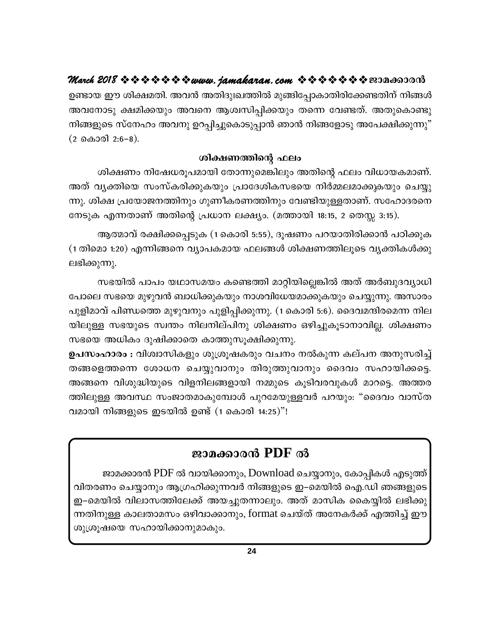ഉണ്ടായ ഈ ശിക്ഷമതി. അവൻ അതിദുഃഖത്തിൽ മുങ്ങിപ്പോകാതിരിക്കേണ്ടതിന് നിങ്ങൾ അവനോടു ക്ഷമിക്കയും അവനെ ആശ്വസിപ്പിക്കയും തന്നെ വേണ്ടത്. അതുകൊണ്ടു നിങ്ങളുടെ സ്നേഹം അവനു ഉറപ്പിച്ചുകൊടുപ്പാൻ ഞാൻ നിങ്ങളോടു അപേക്ഷിക്കുന്നു"  $(2 \text{ } \omega 300) \cdot 2:6-8)$ .

### ശിക്ഷണത്തിന്റെ ഫലം

ശിക്ഷണം നിഷേധരൂപമായി തോന്നുമെങ്കിലും അതിന്റെ ഫലം വിധായകമാണ്. അത് വ്യക്തിയെ സംസ്കരിക്കുകയും പ്രാദേശികസഭയെ നിർമ്മലമാക്കുകയും ചെയ്യു ന്നു. ശിക്ഷ പ്രയോജനത്തിനും ഗുണീകരണത്തിനും വേണ്ടിയുള്ളതാണ്. സഹോദരനെ നേടുക എന്നതാണ് അതിന്റെ പ്രധാന ലക്ഷ്യം. (മത്തായി 18:15, 2 തെസ്സ 3:15).

ആത്മാവ് രക്ഷിക്കപ്പെടുക (1 കൊരി 5:55), ദൂഷണം പറയാതിരിക്കാൻ പഠിക്കുക (1 തിമൊ 1:20) എന്നിങ്ങനെ വ്യാപകമായ ഫലങ്ങൾ ശിക്ഷണത്തിലൂടെ വ്യക്തികൾക്കു ലഭിക്കുന്നു.

സഭയിൽ പാപം യഥാസമയം കണ്ടെത്തി മാറ്റിയില്ലെങ്കിൽ അത് അർബുദവ്യാധി പോലെ സഭയെ മുഴുവൻ ബാധിക്കുകയും നാശവിധേയമാക്കുകയും ചെയ്യുന്നു. അസാരം പുളിമാവ് പിണ്ഡത്തെ മുഴുവനും പുളിപ്പിക്കുന്നു. (1 കൊരി 5:6). ദൈവമന്ദിരമെന്ന നില യിലുള്ള സഭയുടെ സ്വന്തം നിലനില്പിനു ശിക്ഷണം ഒഴിച്ചുകൂടാനാവില്ല. ശിക്ഷണം സഭയെ അധികം ദുഷിക്കാതെ കാത്തുസൂക്ഷിക്കുന്നു.

ഉപസംഹാരം : വിശ്വാസികളും ശുശ്രൂഷകരും വചനം നൽകുന്ന കല്പന അനുസരിച്ച് തങ്ങളെത്തന്നെ ശോധന ചെയ്യുവാനും തിരുത്തുവാനും ദൈവം സഹായിക്കട്ടെ. അങ്ങനെ വിശുദ്ധിയുടെ വിളനിലങ്ങളായി നമ്മുടെ കൂടിവരവുകൾ മാറട്ടെ. അത്തര ത്തിലുള്ള അവസ്ഥ സംജാതമാകുമ്പോൾ പുറമേയുള്ളവർ പറയും: "ദൈവം വാസ്ത വമായി നിങ്ങളുടെ ഇടയിൽ ഉണ്ട് (1 കൊരി 14:25)"!

## ജാമക്കാരൻ PDF ൽ

ജാമക്കാരൻ PDF ൽ വായിക്കാനും, Download ചെയ്യാനും, കോപ്പികൾ എടുത്ത് വിതരണം ചെയ്യാനും ആഗ്രഹിക്കുന്നവർ നിങ്ങളുടെ ഇ–മെയിൽ ഐ.ഡി ഞങ്ങളുടെ ഇ–മെയിൽ വിലാസത്തിലേക്ക് അയച്ചുതന്നാലും. അത് മാസിക കൈയ്യിൽ ലഭിക്കു ന്നതിനുള്ള കാലതാമസം ഒഴിവാക്കാനും, format ചെയ്ത് അനേകർക്ക് എത്തിച്ച് ഈ ശുശ്രൂഷയെ സഹായിക്കാനുമാകും.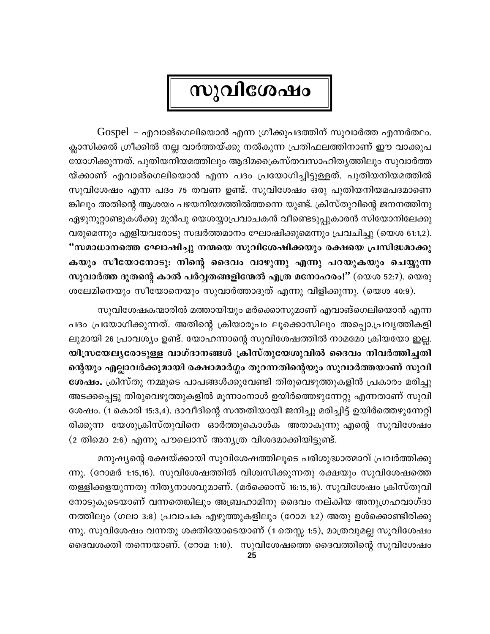## സുവിശേഷം

 $Gospel$  – എവാങ്ഗെലിയൊൻ എന്ന ഗ്രീക്കുപദത്തിന് സുവാർത്ത എന്നർത്ഥം. ക്ലാസിക്കൽ ഗ്രീക്കിൽ നല്ല വാർത്തയ്ക്കു നൽകുന്ന പ്രതിഫലത്തിനാണ് ഈ വാക്കുപ യോഗിക്കുന്നത്. പുതിയനിയമത്തിലും ആദിമക്രൈസ്തവസാഹിതൃത്തിലും സുവാർത്ത യ്ക്കാണ് എവാങ്ഗെലിയൊൻ എന്ന പദം പ്രയോഗിച്ചിട്ടുള്ളത്. പുതിയനിയമത്തിൽ സുവിശേഷം എന്ന പദം 75 തവണ ഉണ്ട്. സുവിശേഷം ഒരു പുതിയനിയമപദമാണെ ങ്കിലും അതിന്റെ ആശയം പഴയനിയമത്തിൽത്തന്നെ യുണ്ട്. ക്രിസ്തുവിന്റെ ജനനത്തിനു ഏഴുനൂറ്റാണ്ടുകൾക്കു മുൻപു യെശയ്യാപ്രവാചകൻ വീണ്ടെടുപ്പുകാരൻ സിയോനിലേക്കു വരുമെന്നും എളിയവരോടു സദ്വർത്തമാനം ഘോഷിക്കുമെന്നും പ്രവചിച്ചു (യെശ 61:1,2). "സമാധാനത്തെ ഘോഷിച്ചു നന്മയെ സുവിശേഷിക്കയും രക്ഷയെ പ്രസിദ്ധമാക്കു കയും സീയോനോടു: നിന്റെ ദൈവം വാഴുന്നു എന്നു പറയുകയും ചെയ്യുന്ന സുവാർത്ത ദൂതന്റെ കാൽ പർവ്വതങ്ങളിന്മേൽ എത്ര മനോഹരം!" (യെശ 52:7). യെരു ശലേമിനെയും സീയോനെയും സുവാർത്താദൂത് എന്നു വിളിക്കുന്നു. (യെശ 40:9).

സുവിശേഷകന്മാരിൽ മത്തായിയും മർക്കൊസുമാണ് എവാങ്ഗെലിയൊൻ എന്ന പദം പ്രയോഗിക്കുന്നത്. അതിന്റെ ക്രിയാരൂപം ലൂക്കൊസിലും അപ്പൊ.പ്രവൃത്തികളി ലുമായി 26 പ്രാവശ്യം ഉണ്ട്. യോഹന്നാന്റെ സുവിശേഷത്തിൽ നാമമോ ക്രിയയോ ഇല്ല. യിസ്രയേല്യരോടുള്ള വാഗ്ദാനങ്ങൾ ക്രിസ്തുയേശുവിൽ ദൈവം നിവർത്തിച്ചതി ന്റെയും എല്ലാവർക്കുമായി രക്ഷാമാർഗ്ഗം തുറന്നതിന്റെയും സുവാർത്തയാണ് സുവി ശേഷം. ക്രിസ്തു നമ്മുടെ പാപങ്ങൾക്കുവേണ്ടി തിരുവെഴുത്തുകളിൻ പ്രകാരം മരിച്ചു അടക്കപ്പെട്ടു തിരുവെഴുത്തുകളിൽ മൂന്നാംനാൾ ഉയിർത്തെഴുന്നേറ്റു എന്നതാണ് സുവി ശേഷം. (1 കൊരി 15:3,4). ദാവീദിന്റെ സന്തതിയായി ജനിച്ചു മരിച്ചിട്ട് ഉയിർത്തെഴുന്നേറ്റി രിക്കുന്ന യേശുക്രിസ്തുവിനെ ഓർത്തുകൊൾക അതാകുന്നു എന്റെ സുവിശേഷം (2 തിമൊ 2:6) എന്നു പൗലൊസ് അന്യത്ര വിശദമാക്കിയിട്ടുണ്ട്.

മനുഷ്യന്റെ രക്ഷയ്ക്കായി സുവിശേഷത്തിലൂടെ പരിശുദ്ധാത്മാവ് പ്രവർത്തിക്കു ന്നു. (റോമർ 1:15,16). സുവിശേഷത്തിൽ വിശ്വസിക്കുന്നതു രക്ഷയും സുവിശേഷത്തെ തള്ളിക്കളയുന്നതു നിത്യനാശവുമാണ്. (മർക്കൊസ് 16:15,16). സുവിശേഷം ക്രിസ്തുവി നോടുകൂടെയാണ് വന്നതെങ്കിലും അബ്രഹാമിനു ദൈവം നല്കിയ അനുഗ്രഹവാഗ്ദാ നത്തിലും (ഗലാ 3:8) പ്രവാചക എഴുത്തുകളിലും (റോമ 1:2) അതു ഉൾക്കൊണ്ടിരിക്കു ന്നു. സുവിശേഷം വന്നതു ശക്തിയോടെയാണ് (1 തെസ്സ 1:5), മാത്രവുമല്ല സുവിശേഷം ദൈവശക്തി തന്നെയാണ്. (റോമ 1:10). സുവിശേഷത്തെ ദൈവത്തിന്റെ സുവിശേഷം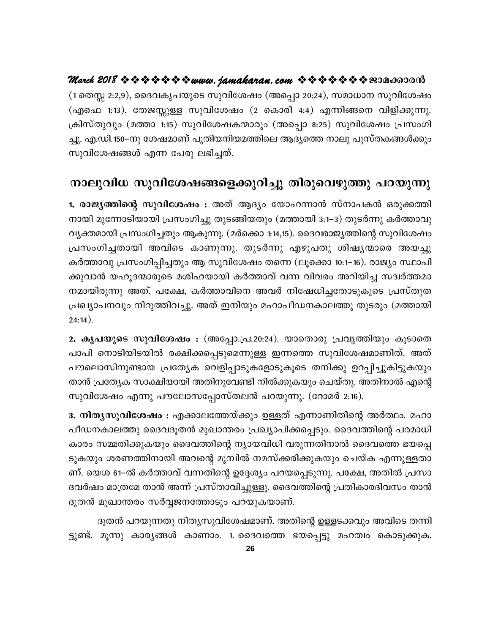(1 തെസ്സ 2:2,9), ദൈവകൃപയുടെ സുവിശേഷം (അപ്പൊ 20:24), സമാധാന സുവിശേഷം (എഫെ 1:13), തേജസ്സുള്ള സുവിശേഷം (2 കൊരി 4:4) എന്നിങ്ങനെ വിളിക്കുന്നു. ക്രിസ്തുവും (മത്താ 1:15) സുവിശേഷകന്മാരും (അപ്പൊ 8:25) സുവിശേഷം പ്രസംഗി ച്ചു. എ.ഡി.150–നു ശേഷമാണ് പുതിയനിയമത്തിലെ ആദ്യത്തെ നാലു പുസ്തകങ്ങൾക്കും സുവിശേഷങ്ങൾ എന്ന പേരു ലഭിച്ചത്.

## നാലുവിധ സുവിശേഷങ്ങളെക്കുറിച്ചു തിരുവെഴുത്തു പറയുന്നു

1. രാജ്യത്തിന്റെ സുവിശേഷം : അത് ആദ്യം യോഹന്നാൻ സ്നാപകൻ ഒരുക്കത്തി നായി മുന്നോടിയായി പ്രസംഗിച്ചു തുടങ്ങിയതും (മത്തായി 3:1–3) തുടർന്നു കർത്താവു വ്യക്തമായി പ്രസംഗിച്ചതും ആകുന്നു. (മർക്കൊ 1:14,15). ദൈവരാജ്യത്തിന്റെ സുവിശേഷം പ്രസംഗിച്ചതായി അവിടെ കാണുന്നു. തുടർന്നു എഴുപതു ശിഷ്യന്മാരെ അയച്ചു കർത്താവു പ്രസംഗിപ്പിച്ചതും ആ സുവിശേഷം തന്നെ (ലൂക്കൊ 10:1–16). രാജ്യം സ്ഥാപി ക്കുവാൻ യഹൂദന്മാരുടെ മശിഹയായി കർത്താവ് വന്ന വിവരം അറിയിച്ച സദ്വർത്തമാ നമായിരുന്നു അത്. പക്ഷേ, കർത്താവിനെ അവർ നിഷേധിച്ചതോടുകൂടെ പ്രസ്തുത പ്രഖ്യാപനവും നിറുത്തിവച്ചു. അത് ഇനിയും മഹാപീഡനകാലത്തു തുടരും (മത്തായി  $24:14$ ).

2. കൃപയുടെ സുവിശേഷം : (അപ്പോ.പ്ര.20:24). യാതൊരു പ്രവൃത്തിയും കൂടാതെ പാപി നൊടിയിടയിൽ രക്ഷിക്കപ്പെടുമെന്നുള്ള ഇന്നത്തെ സുവിശേഷമാണിത്. അത് പൗലൊസിനുണ്ടായ പ്രത്യേക വെളിപ്പാടുകളോടുകൂടെ തനിക്കു ഉറപ്പിച്ചുകിട്ടുകയും താൻ പ്രത്യേക സാക്ഷിയായി അതിനുവേണ്ടി നിൽക്കുകയും ചെയ്തു. അതിനാൽ എന്റെ സുവിശേഷം എന്നു പൗലോസപ്പോസ്തലൻ പറയുന്നു. (റോമർ 2:16).

3. നിതൃസുവിശേഷം : എക്കാലത്തേയ്ക്കും ഉള്ളത് എന്നാണിതിന്റെ അർത്ഥം. മഹാ പീഡനകാലത്തു ദൈവദൂതൻ മുഖാന്തരം പ്രഖ്യാപിക്കപ്പെടും. ദൈവത്തിന്റെ പരമാധി കാരം സമ്മതിക്കുകയും ദൈവത്തിന്റെ ന്യായവിധി വരുന്നതിനാൽ ദൈവത്തെ ഭയപ്പെ ടുകയും ശരണത്തിനായി അവന്റെ മുമ്പിൽ നമസ്ക്കരിക്കുകയും ചെയ്ക എന്നുള്ളതാ ണ്. യെശ 61–ൽ കർത്താവ് വന്നതിന്റെ ഉദ്ദേശ്യം പറയപ്പെടുന്നു. പക്ഷേ, അതിൽ പ്രസാ ദവർഷം മാത്രമേ താൻ അന്ന് പ്രസ്താവിച്ചുള്ളൂ. ദൈവത്തിന്റെ പ്രതികാരദിവസം താൻ ദൂതൻ മുഖാന്തരം സർവ്വജനത്തോടും പറയുകയാണ്.

ദൂതൻ പറയുന്നതു നിത്യസുവിശേഷമാണ്. അതിന്റെ ഉള്ളടക്കവും അവിടെ തന്നി ട്ടുണ്ട്. മൂന്നു കാര്യങ്ങൾ കാണാം. 1 ദൈവത്തെ ഭയപ്പെട്ടു മഹത്വം കൊടുക്കുക.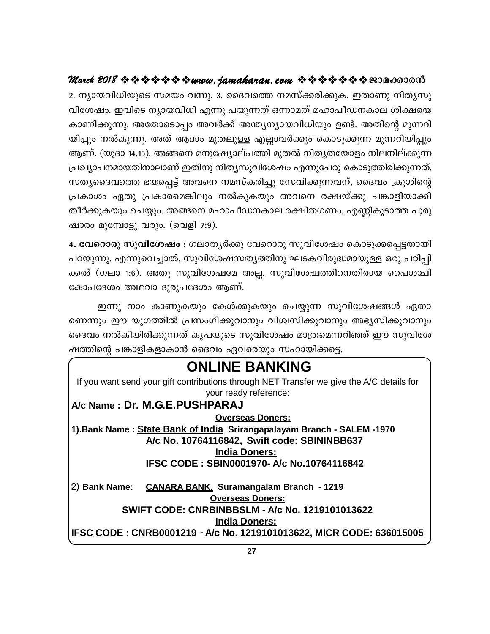2. ന്യായവിധിയുടെ സമയം വന്നു. 3. ദൈവത്തെ നമസ്ക്കരിക്കുക. ഇതാണു നിത്യസു വിശേഷം. ഇവിടെ ന്യായവിധി എന്നു പയുന്നത് ഒന്നാമത് മഹാപീഡനകാല ശിക്ഷയെ കാണിക്കുന്നു. അതോടൊപ്പം അവർക്ക് അന്ത്യന്യായവിധിയും ഉണ്ട്. അതിന്റെ മുന്നറി യിപ്പും നൽകുന്നു. അത് ആദാം മുതലുള്ള എല്ലാവർക്കും കൊടുക്കുന്ന മുന്നറിയിപ്പും ആണ്. (യൂദാ 14,15). അങ്ങനെ മനുഷ്യോല്പത്തി മുതൽ നിതൃതയോളം നിലനില്ക്കുന്ന പ്രഖ്യാപനമായതിനാലാണ് ഇതിനു നിത്യസുവിശേഷം എന്നുപേരു കൊടുത്തിരിക്കുന്നത്. സത്യഭൈവത്തെ ഭയപ്പെട്ട് അവനെ നമസ്കരിച്ചു സേവിക്കുന്നവന്, ദൈവം ക്രൂശിന്റെ പ്രകാശം ഏതു പ്രകാരമെങ്കിലും നൽകുകയും അവനെ രക്ഷയ്ക്കു പങ്കാളിയാക്കി തീർക്കുകയും ചെയ്യും. അങ്ങനെ മഹാപീഡനകാല രക്ഷിതഗണം, എണ്ണികൂടാത്ത പുരു ഷാരം മുമ്പോട്ടു വരും. (വെളി 7:9).

4. വേറൊരു സുവിശേഷം : ഗലാതൃർക്കു വേറൊരു സുവിശേഷം കൊടുക്കപ്പെട്ടതായി പറയുന്നു. എന്നുവെച്ചാൽ, സുവിശേഷസതൃത്തിനു ഘടകവിരുദ്ധമായുള്ള ഒരു പഠിപ്പി ക്കൽ (ഗലാ 1:6). അതു സുവിശേഷമേ അല്ല. സുവിശേഷത്തിനെതിരായ പൈശാചി കോപദേശം അഥവാ ദുരുപദേശം ആണ്.

ഇന്നു നാം കാണുകയും കേൾക്കുകയും ചെയ്യുന്ന സുവിശേഷങ്ങൾ ഏതാ ണെന്നും ഈ യുഗത്തിൽ പ്രസംഗിക്കുവാനും വിശ്വസിക്കുവാനും അഭ്യസിക്കുവാനും ദൈവം നൽകിയിരിക്കുന്നത് കൃപയുടെ സുവിശേഷം മാത്രമെന്നറിഞ്ഞ് ഈ സുവിശേ ഷത്തിന്റെ പങ്കാളികളാകാൻ ദൈവം ഏവരെയും സഹായിക്കട്ടെ.

| <b>ONLINE BANKING</b>                                                                     |
|-------------------------------------------------------------------------------------------|
| If you want send your gift contributions through NET Transfer we give the A/C details for |
| your ready reference:                                                                     |
| A/c Name: Dr. M.G.E.PUSHPARAJ                                                             |
| <b>Overseas Doners:</b>                                                                   |
| 1). Bank Name: State Bank of India Srirangapalayam Branch - SALEM -1970                   |
| A/c No. 10764116842, Swift code: SBININBB637                                              |
| <b>India Doners:</b>                                                                      |
| IFSC CODE: SBIN0001970- A/c No.10764116842                                                |
| 2) Bank Name: CANARA BANK. Suramangalam Branch - 1219                                     |
| <b>Overseas Doners:</b>                                                                   |
| <b>SWIFT CODE: CNRBINBBSLM - A/c No. 1219101013622</b>                                    |
| <b>India Doners:</b>                                                                      |
| IFSC CODE: CNRB0001219 - A/c No. 1219101013622, MICR CODE: 636015005                      |